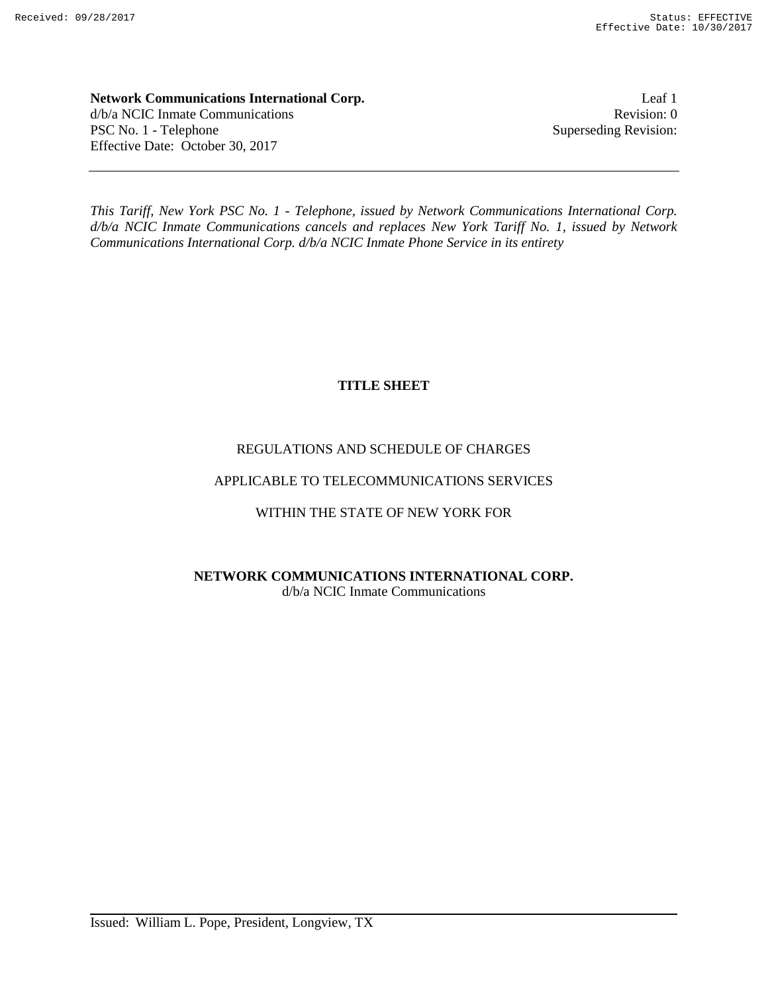**Network Communications International Corp.** Leaf 1 d/b/a NCIC Inmate Communications Revision: 0 PSC No. 1 - Telephone Superseding Revision: Effective Date: October 30, 2017

*This Tariff, New York PSC No. 1 - Telephone, issued by Network Communications International Corp. d/b/a NCIC Inmate Communications cancels and replaces New York Tariff No. 1, issued by Network Communications International Corp. d/b/a NCIC Inmate Phone Service in its entirety*

# **TITLE SHEET**

# REGULATIONS AND SCHEDULE OF CHARGES

# APPLICABLE TO TELECOMMUNICATIONS SERVICES

# WITHIN THE STATE OF NEW YORK FOR

# **NETWORK COMMUNICATIONS INTERNATIONAL CORP.** d/b/a NCIC Inmate Communications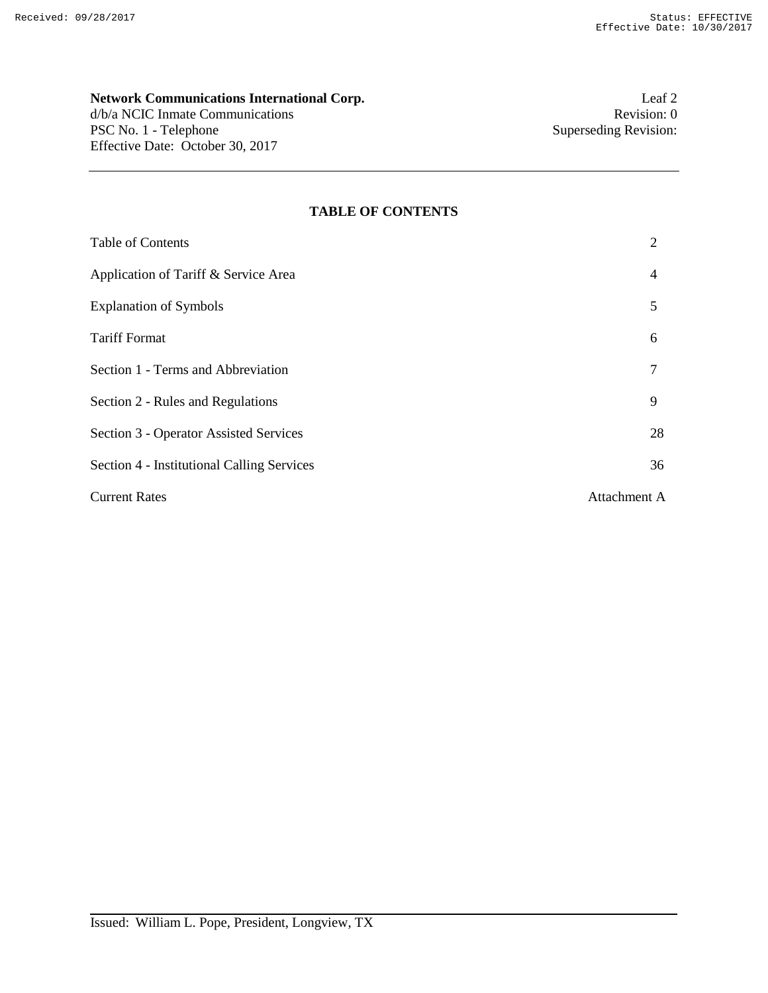# **Network Communications International Corp.** Leaf 2<br>  $d/b/a$  NCIC Inmate Communications<br>
0

d/b/a NCIC Inmate Communications PSC No. 1 - Telephone Superseding Revision: Effective Date: October 30, 2017

#### **TABLE OF CONTENTS**

| <b>Table of Contents</b>                      | 2            |
|-----------------------------------------------|--------------|
| Application of Tariff & Service Area          | 4            |
| <b>Explanation of Symbols</b>                 | 5            |
| <b>Tariff Format</b>                          | 6            |
| Section 1 - Terms and Abbreviation            |              |
| Section 2 - Rules and Regulations             | 9            |
| <b>Section 3 - Operator Assisted Services</b> | 28           |
| Section 4 - Institutional Calling Services    | 36           |
| <b>Current Rates</b>                          | Attachment A |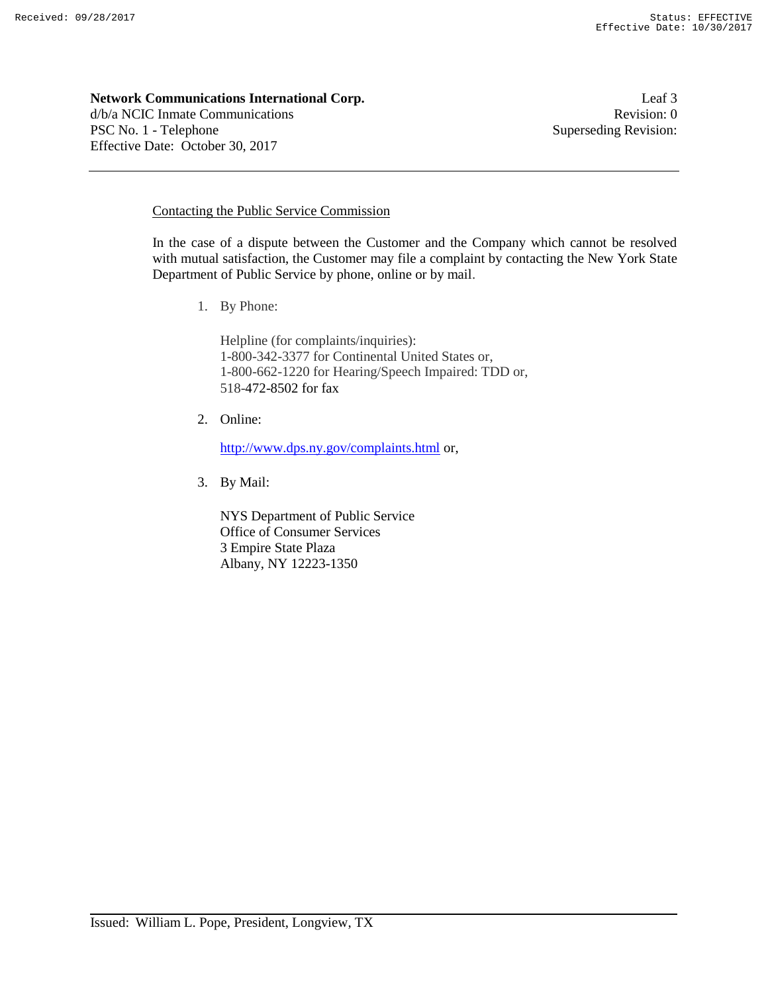#### **Network Communications International Corp. Leaf 3** Leaf 3

d/b/a NCIC Inmate Communications **Revision:** 0 PSC No. 1 - Telephone Superseding Revision: Effective Date: October 30, 2017

# Contacting the Public Service Commission

In the case of a dispute between the Customer and the Company which cannot be resolved with mutual satisfaction, the Customer may file a complaint by contacting the New York State Department of Public Service by phone, online or by mail.

1. By Phone:

Helpline (for complaints/inquiries): 1-800-342-3377 for Continental United States or, 1-800-662-1220 for Hearing/Speech Impaired: TDD or, 518-472-8502 for fax

2. Online:

http://www.dps.ny.gov/complaints.html or,

3. By Mail:

NYS Department of Public Service Office of Consumer Services 3 Empire State Plaza Albany, NY 12223-1350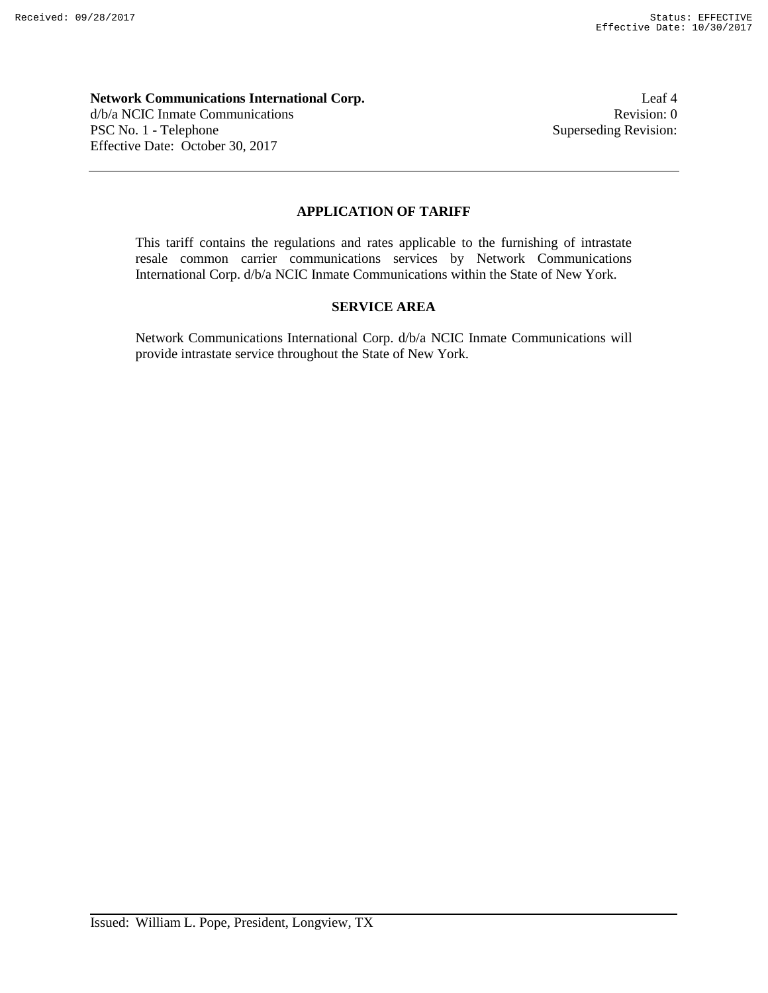# **Network Communications International Corp.** Leaf 4 d/b/a NCIC Inmate Communications Revision: 0 PSC No. 1 - Telephone Superseding Revision: Effective Date: October 30, 2017

# **APPLICATION OF TARIFF**

This tariff contains the regulations and rates applicable to the furnishing of intrastate resale common carrier communications services by Network Communications International Corp. d/b/a NCIC Inmate Communications within the State of New York.

# **SERVICE AREA**

Network Communications International Corp. d/b/a NCIC Inmate Communications will provide intrastate service throughout the State of New York.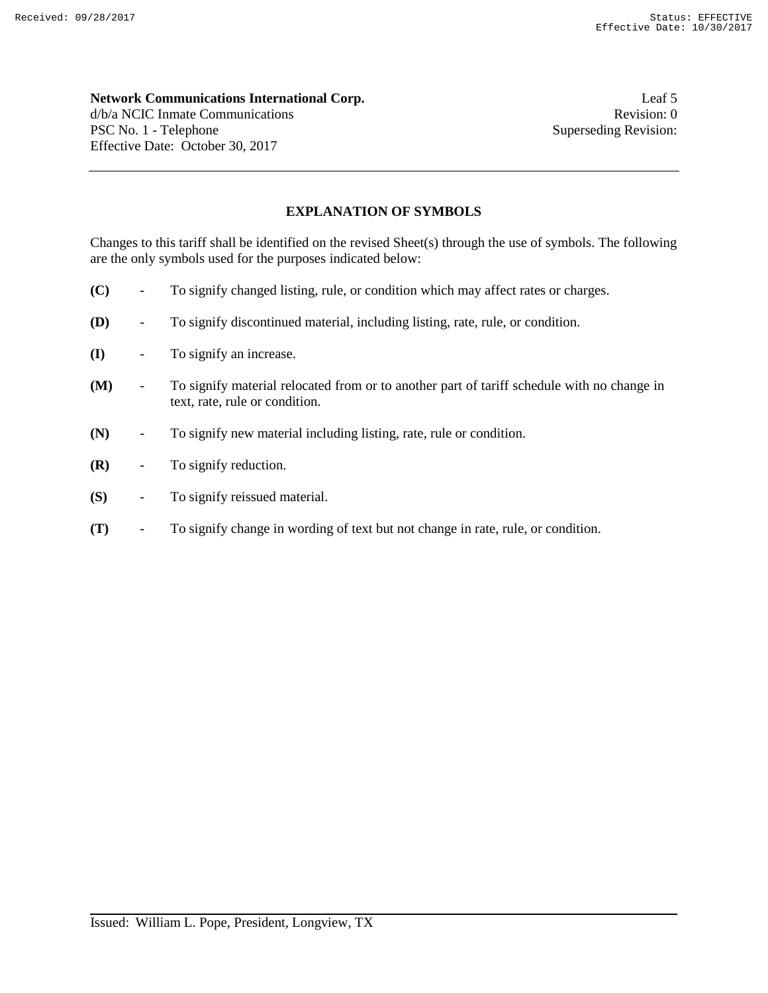#### **Network Communications International Corp. Leaf 5** Leaf 5

d/b/a NCIC Inmate Communications **Revision:** 0 PSC No. 1 - Telephone Superseding Revision: Effective Date: October 30, 2017

# **EXPLANATION OF SYMBOLS**

Changes to this tariff shall be identified on the revised Sheet(s) through the use of symbols. The following are the only symbols used for the purposes indicated below:

- **(C)** To signify changed listing, rule, or condition which may affect rates or charges.
- **(D)** To signify discontinued material, including listing, rate, rule, or condition.
- **(I)** To signify an increase.
- **(M)** To signify material relocated from or to another part of tariff schedule with no change in text, rate, rule or condition.
- **(N)** To signify new material including listing, rate, rule or condition.
- **(R)** To signify reduction.
- **(S)** To signify reissued material.
- **(T)** To signify change in wording of text but not change in rate, rule, or condition.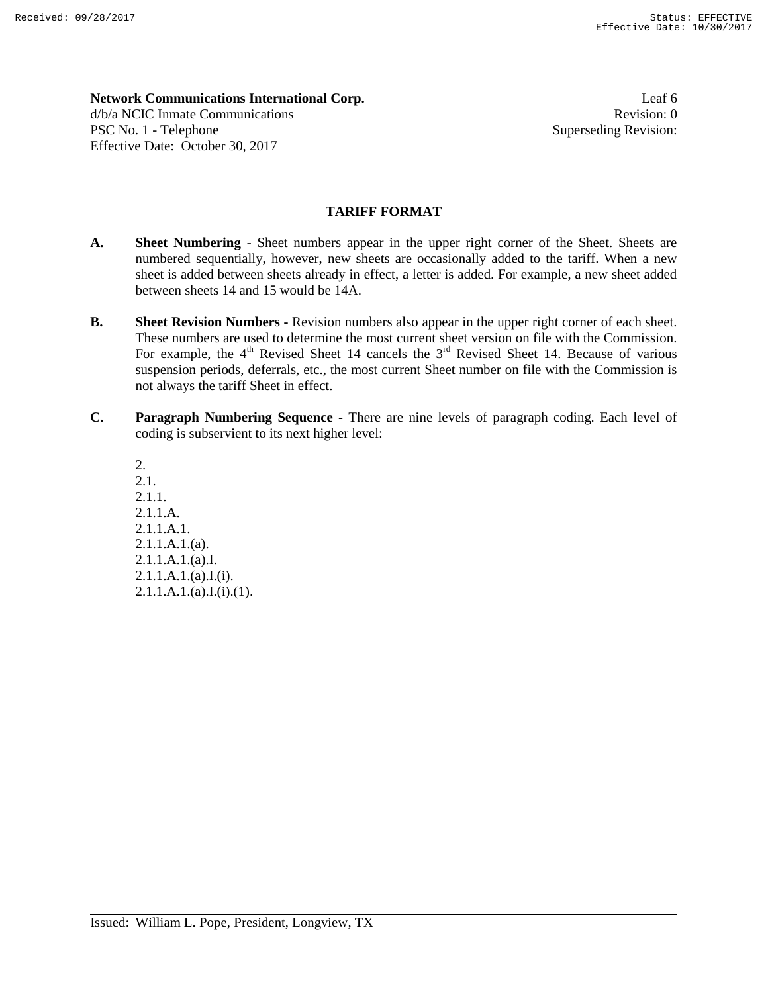**Network Communications International Corp.** Leaf 6 d/b/a NCIC Inmate Communications **Revision:** 0 PSC No. 1 - Telephone Superseding Revision: Effective Date: October 30, 2017

# **TARIFF FORMAT**

- **A. Sheet Numbering -** Sheet numbers appear in the upper right corner of the Sheet. Sheets are numbered sequentially, however, new sheets are occasionally added to the tariff. When a new sheet is added between sheets already in effect, a letter is added. For example, a new sheet added between sheets 14 and 15 would be 14A.
- **B. Sheet Revision Numbers -** Revision numbers also appear in the upper right corner of each sheet. These numbers are used to determine the most current sheet version on file with the Commission. For example, the  $4<sup>th</sup>$  Revised Sheet 14 cancels the  $3<sup>rd</sup>$  Revised Sheet 14. Because of various suspension periods, deferrals, etc., the most current Sheet number on file with the Commission is not always the tariff Sheet in effect.
- **C. Paragraph Numbering Sequence -** There are nine levels of paragraph coding. Each level of coding is subservient to its next higher level:

2. 2.1. 2.1.1. 2.1.1.A. 2.1.1.A.1. 2.1.1.A.1.(a). 2.1.1.A.1.(a).I.  $2.1.1.A.1.(a).I.(i).$  $2.1.1.A.1.(a).I.(i).(1).$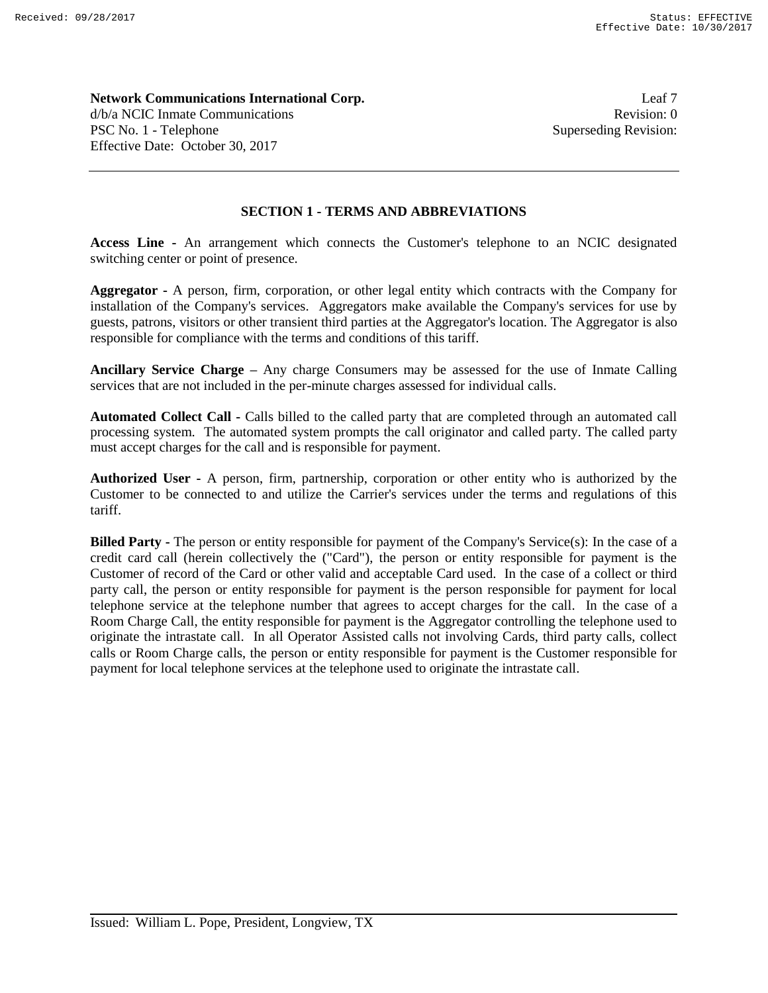**Network Communications International Corp. Leaf 7** Leaf 7 d/b/a NCIC Inmate Communications **Revision:** 0 PSC No. 1 - Telephone Superseding Revision: Effective Date: October 30, 2017

# **SECTION 1 - TERMS AND ABBREVIATIONS**

**Access Line -** An arrangement which connects the Customer's telephone to an NCIC designated switching center or point of presence.

**Aggregator -** A person, firm, corporation, or other legal entity which contracts with the Company for installation of the Company's services. Aggregators make available the Company's services for use by guests, patrons, visitors or other transient third parties at the Aggregator's location. The Aggregator is also responsible for compliance with the terms and conditions of this tariff.

**Ancillary Service Charge –** Any charge Consumers may be assessed for the use of Inmate Calling services that are not included in the per-minute charges assessed for individual calls.

**Automated Collect Call -** Calls billed to the called party that are completed through an automated call processing system. The automated system prompts the call originator and called party. The called party must accept charges for the call and is responsible for payment.

**Authorized User -** A person, firm, partnership, corporation or other entity who is authorized by the Customer to be connected to and utilize the Carrier's services under the terms and regulations of this tariff.

**Billed Party -** The person or entity responsible for payment of the Company's Service(s): In the case of a credit card call (herein collectively the ("Card"), the person or entity responsible for payment is the Customer of record of the Card or other valid and acceptable Card used. In the case of a collect or third party call, the person or entity responsible for payment is the person responsible for payment for local telephone service at the telephone number that agrees to accept charges for the call. In the case of a Room Charge Call, the entity responsible for payment is the Aggregator controlling the telephone used to originate the intrastate call. In all Operator Assisted calls not involving Cards, third party calls, collect calls or Room Charge calls, the person or entity responsible for payment is the Customer responsible for payment for local telephone services at the telephone used to originate the intrastate call.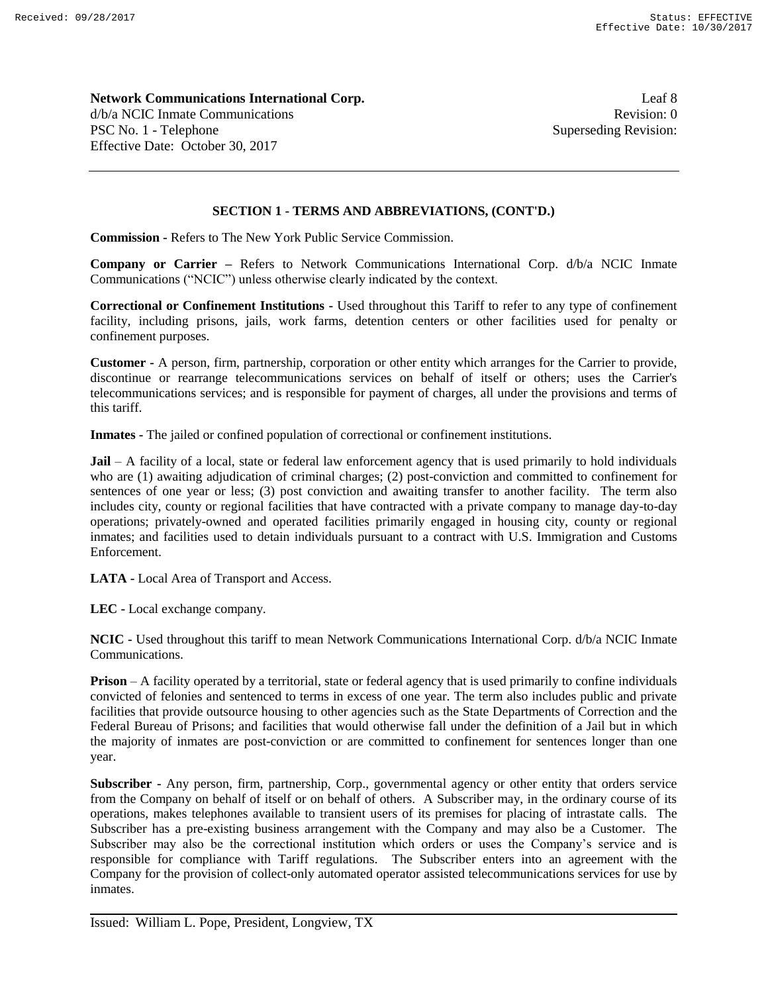**Network Communications International Corp. Leaf 8** Leaf 8 d/b/a NCIC Inmate Communications **Revision:** 0 PSC No. 1 - Telephone Superseding Revision: Effective Date: October 30, 2017

# **SECTION 1 - TERMS AND ABBREVIATIONS, (CONT'D.)**

**Commission -** Refers to The New York Public Service Commission.

**Company or Carrier –** Refers to Network Communications International Corp. d/b/a NCIC Inmate Communications ("NCIC") unless otherwise clearly indicated by the context.

**Correctional or Confinement Institutions -** Used throughout this Tariff to refer to any type of confinement facility, including prisons, jails, work farms, detention centers or other facilities used for penalty or confinement purposes.

**Customer -** A person, firm, partnership, corporation or other entity which arranges for the Carrier to provide, discontinue or rearrange telecommunications services on behalf of itself or others; uses the Carrier's telecommunications services; and is responsible for payment of charges, all under the provisions and terms of this tariff.

**Inmates -** The jailed or confined population of correctional or confinement institutions.

**Jail** – A facility of a local, state or federal law enforcement agency that is used primarily to hold individuals who are (1) awaiting adjudication of criminal charges; (2) post-conviction and committed to confinement for sentences of one year or less; (3) post conviction and awaiting transfer to another facility. The term also includes city, county or regional facilities that have contracted with a private company to manage day-to-day operations; privately-owned and operated facilities primarily engaged in housing city, county or regional inmates; and facilities used to detain individuals pursuant to a contract with U.S. Immigration and Customs Enforcement.

**LATA -** Local Area of Transport and Access.

**LEC -** Local exchange company.

**NCIC -** Used throughout this tariff to mean Network Communications International Corp. d/b/a NCIC Inmate Communications.

**Prison** – A facility operated by a territorial, state or federal agency that is used primarily to confine individuals convicted of felonies and sentenced to terms in excess of one year. The term also includes public and private facilities that provide outsource housing to other agencies such as the State Departments of Correction and the Federal Bureau of Prisons; and facilities that would otherwise fall under the definition of a Jail but in which the majority of inmates are post-conviction or are committed to confinement for sentences longer than one year.

**Subscriber -** Any person, firm, partnership, Corp., governmental agency or other entity that orders service from the Company on behalf of itself or on behalf of others. A Subscriber may, in the ordinary course of its operations, makes telephones available to transient users of its premises for placing of intrastate calls. The Subscriber has a pre-existing business arrangement with the Company and may also be a Customer. The Subscriber may also be the correctional institution which orders or uses the Company's service and is responsible for compliance with Tariff regulations. The Subscriber enters into an agreement with the Company for the provision of collect-only automated operator assisted telecommunications services for use by inmates.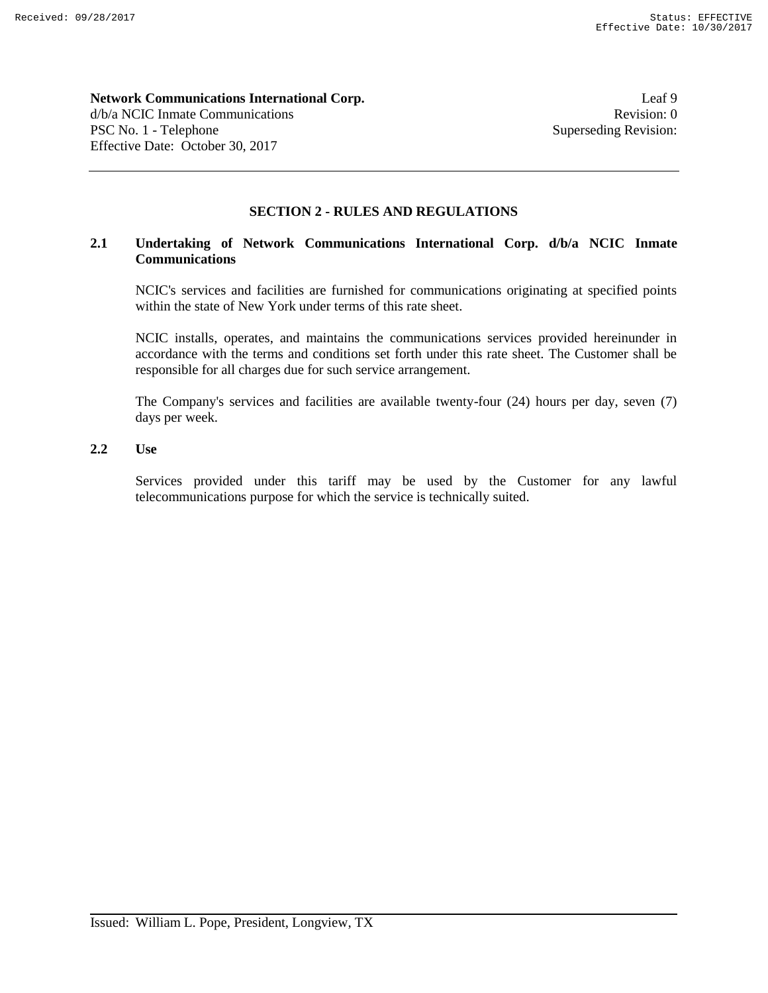#### **Network Communications International Corp.** Leaf 9

d/b/a NCIC Inmate Communications **Revision:** 0 PSC No. 1 - Telephone Superseding Revision: Effective Date: October 30, 2017

# **SECTION 2 - RULES AND REGULATIONS**

# **2.1 Undertaking of Network Communications International Corp. d/b/a NCIC Inmate Communications**

NCIC's services and facilities are furnished for communications originating at specified points within the state of New York under terms of this rate sheet.

NCIC installs, operates, and maintains the communications services provided hereinunder in accordance with the terms and conditions set forth under this rate sheet. The Customer shall be responsible for all charges due for such service arrangement.

The Company's services and facilities are available twenty-four (24) hours per day, seven (7) days per week.

# **2.2 Use**

Services provided under this tariff may be used by the Customer for any lawful telecommunications purpose for which the service is technically suited.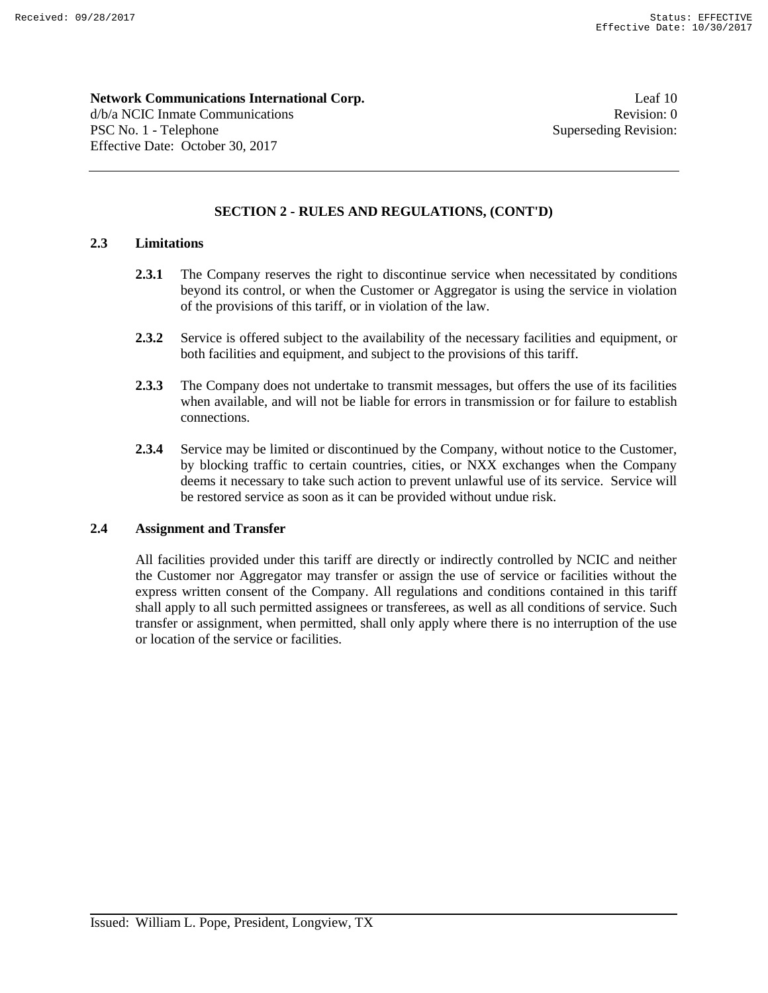**Network Communications International Corp.** Leaf 10 d/b/a NCIC Inmate Communications **Revision:** 0 PSC No. 1 - Telephone Superseding Revision: Effective Date: October 30, 2017

# **SECTION 2 - RULES AND REGULATIONS, (CONT'D)**

## **2.3 Limitations**

- **2.3.1** The Company reserves the right to discontinue service when necessitated by conditions beyond its control, or when the Customer or Aggregator is using the service in violation of the provisions of this tariff, or in violation of the law.
- **2.3.2** Service is offered subject to the availability of the necessary facilities and equipment, or both facilities and equipment, and subject to the provisions of this tariff.
- **2.3.3** The Company does not undertake to transmit messages, but offers the use of its facilities when available, and will not be liable for errors in transmission or for failure to establish connections.
- **2.3.4** Service may be limited or discontinued by the Company, without notice to the Customer, by blocking traffic to certain countries, cities, or NXX exchanges when the Company deems it necessary to take such action to prevent unlawful use of its service. Service will be restored service as soon as it can be provided without undue risk.

## **2.4 Assignment and Transfer**

All facilities provided under this tariff are directly or indirectly controlled by NCIC and neither the Customer nor Aggregator may transfer or assign the use of service or facilities without the express written consent of the Company. All regulations and conditions contained in this tariff shall apply to all such permitted assignees or transferees, as well as all conditions of service. Such transfer or assignment, when permitted, shall only apply where there is no interruption of the use or location of the service or facilities.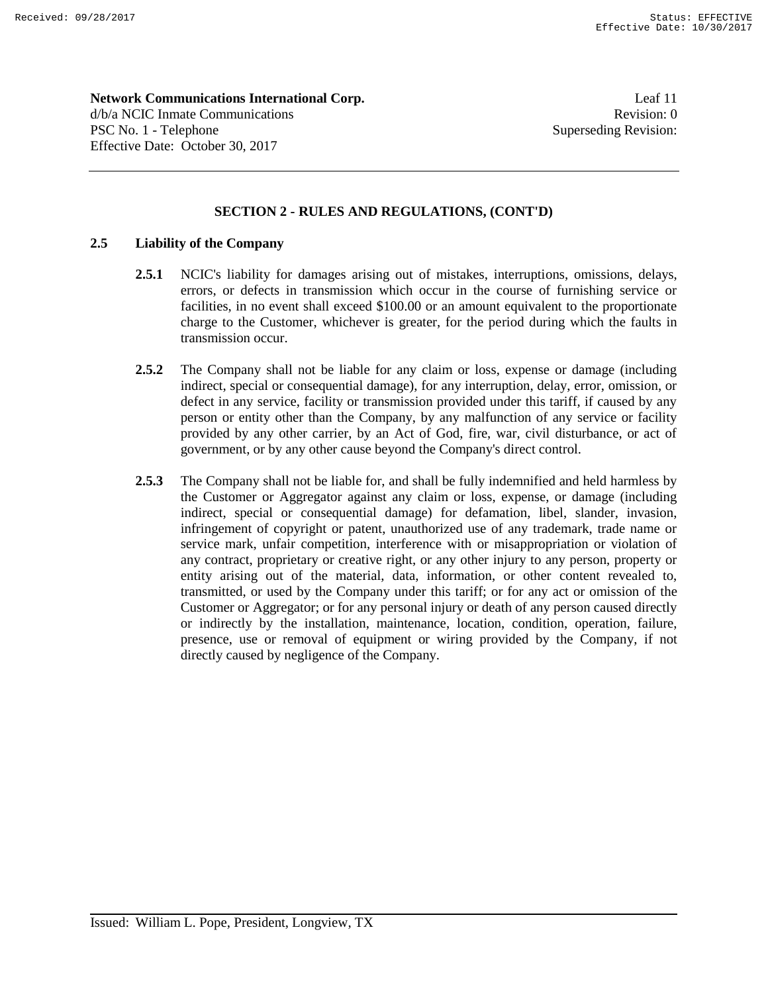**Network Communications International Corp.** Leaf 11 d/b/a NCIC Inmate Communications **Revision:** 0 PSC No. 1 - Telephone Superseding Revision: Effective Date: October 30, 2017

# **SECTION 2 - RULES AND REGULATIONS, (CONT'D)**

# **2.5 Liability of the Company**

- **2.5.1** NCIC's liability for damages arising out of mistakes, interruptions, omissions, delays, errors, or defects in transmission which occur in the course of furnishing service or facilities, in no event shall exceed \$100.00 or an amount equivalent to the proportionate charge to the Customer, whichever is greater, for the period during which the faults in transmission occur.
- **2.5.2** The Company shall not be liable for any claim or loss, expense or damage (including indirect, special or consequential damage), for any interruption, delay, error, omission, or defect in any service, facility or transmission provided under this tariff, if caused by any person or entity other than the Company, by any malfunction of any service or facility provided by any other carrier, by an Act of God, fire, war, civil disturbance, or act of government, or by any other cause beyond the Company's direct control.
- **2.5.3** The Company shall not be liable for, and shall be fully indemnified and held harmless by the Customer or Aggregator against any claim or loss, expense, or damage (including indirect, special or consequential damage) for defamation, libel, slander, invasion, infringement of copyright or patent, unauthorized use of any trademark, trade name or service mark, unfair competition, interference with or misappropriation or violation of any contract, proprietary or creative right, or any other injury to any person, property or entity arising out of the material, data, information, or other content revealed to, transmitted, or used by the Company under this tariff; or for any act or omission of the Customer or Aggregator; or for any personal injury or death of any person caused directly or indirectly by the installation, maintenance, location, condition, operation, failure, presence, use or removal of equipment or wiring provided by the Company, if not directly caused by negligence of the Company.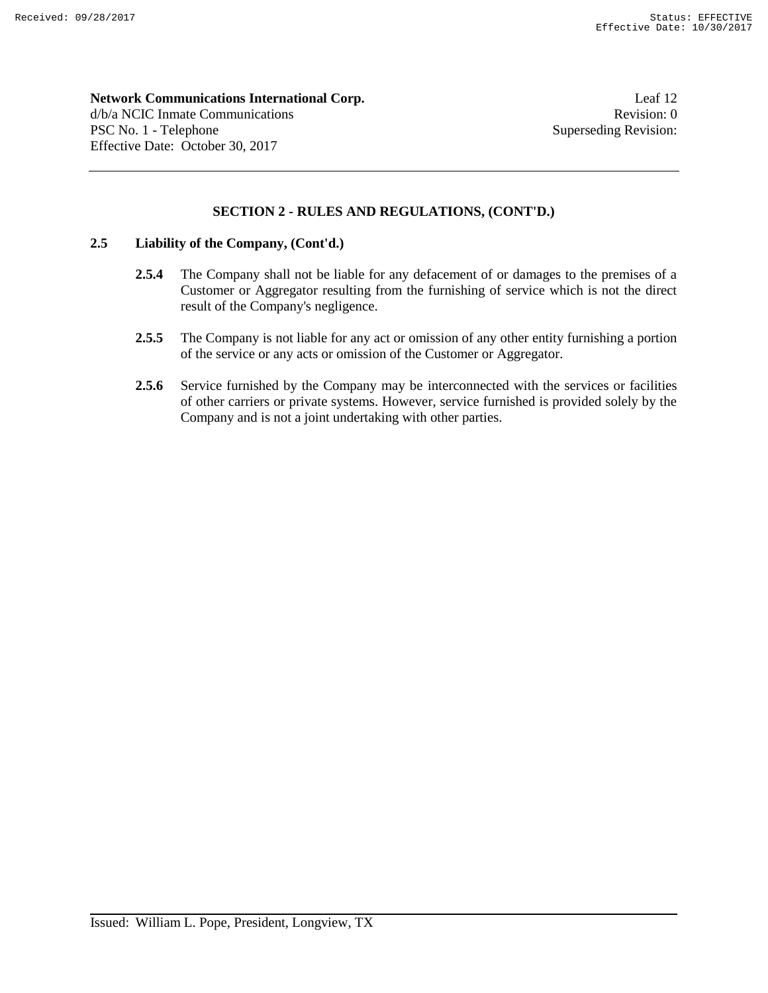**Network Communications International Corp.** Leaf 12 d/b/a NCIC Inmate Communications **Revision:** 0 PSC No. 1 - Telephone Superseding Revision:

# **SECTION 2 - RULES AND REGULATIONS, (CONT'D.)**

# **2.5 Liability of the Company, (Cont'd.)**

Effective Date: October 30, 2017

- **2.5.4** The Company shall not be liable for any defacement of or damages to the premises of a Customer or Aggregator resulting from the furnishing of service which is not the direct result of the Company's negligence.
- **2.5.5** The Company is not liable for any act or omission of any other entity furnishing a portion of the service or any acts or omission of the Customer or Aggregator.
- 2.5.6 Service furnished by the Company may be interconnected with the services or facilities of other carriers or private systems. However, service furnished is provided solely by the Company and is not a joint undertaking with other parties.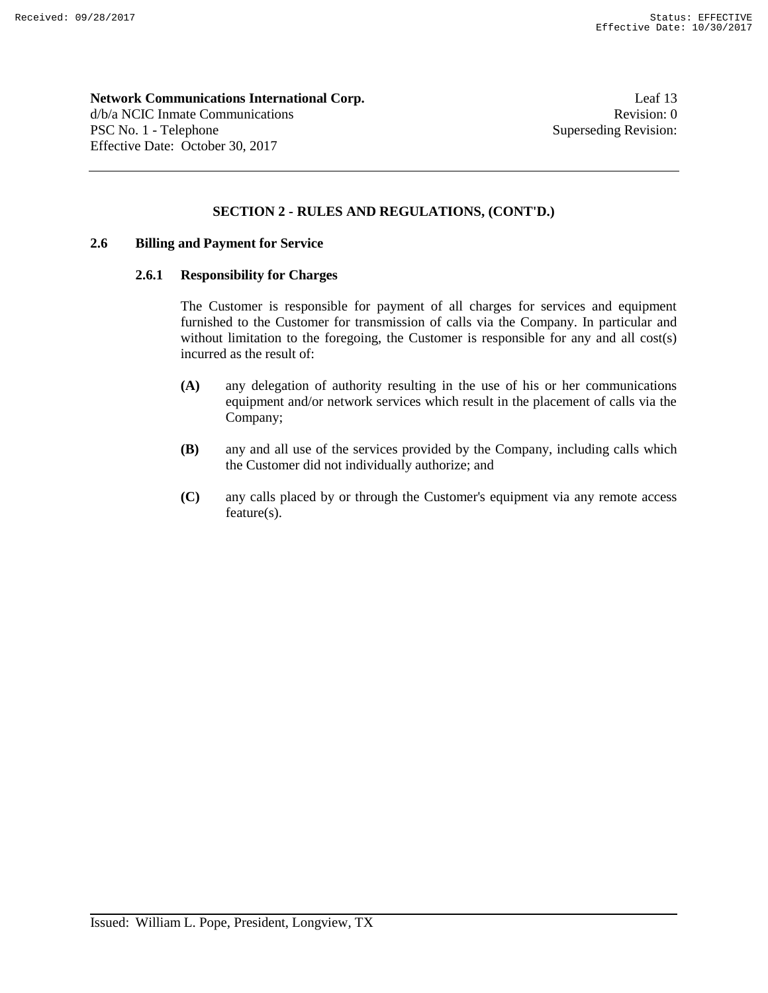**Network Communications International Corp.** Leaf 13 d/b/a NCIC Inmate Communications **Revision:** 0 PSC No. 1 - Telephone Superseding Revision:

# **SECTION 2 - RULES AND REGULATIONS, (CONT'D.)**

## **2.6 Billing and Payment for Service**

Effective Date: October 30, 2017

#### **2.6.1 Responsibility for Charges**

The Customer is responsible for payment of all charges for services and equipment furnished to the Customer for transmission of calls via the Company. In particular and without limitation to the foregoing, the Customer is responsible for any and all cost(s) incurred as the result of:

- **(A)** any delegation of authority resulting in the use of his or her communications equipment and/or network services which result in the placement of calls via the Company;
- **(B)** any and all use of the services provided by the Company, including calls which the Customer did not individually authorize; and
- **(C)** any calls placed by or through the Customer's equipment via any remote access feature(s).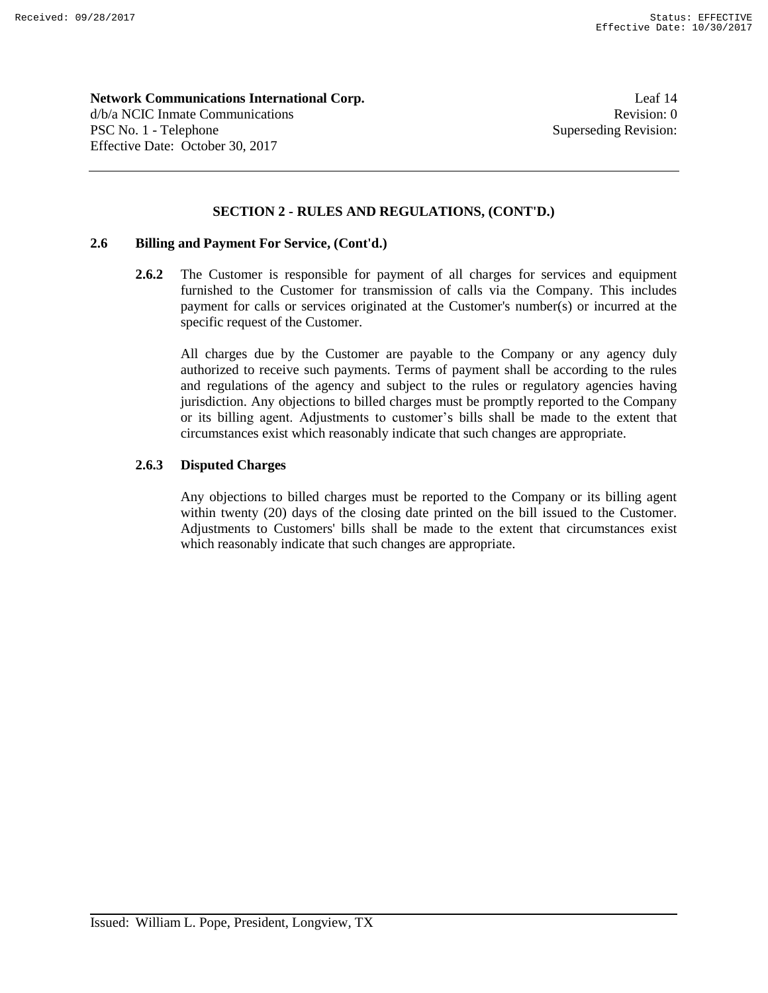**Network Communications International Corp.** Leaf 14 d/b/a NCIC Inmate Communications **Revision:** 0 PSC No. 1 - Telephone Superseding Revision: Effective Date: October 30, 2017

# **SECTION 2 - RULES AND REGULATIONS, (CONT'D.)**

# **2.6 Billing and Payment For Service, (Cont'd.)**

**2.6.2** The Customer is responsible for payment of all charges for services and equipment furnished to the Customer for transmission of calls via the Company. This includes payment for calls or services originated at the Customer's number(s) or incurred at the specific request of the Customer.

All charges due by the Customer are payable to the Company or any agency duly authorized to receive such payments. Terms of payment shall be according to the rules and regulations of the agency and subject to the rules or regulatory agencies having jurisdiction. Any objections to billed charges must be promptly reported to the Company or its billing agent. Adjustments to customer's bills shall be made to the extent that circumstances exist which reasonably indicate that such changes are appropriate.

# **2.6.3 Disputed Charges**

Any objections to billed charges must be reported to the Company or its billing agent within twenty (20) days of the closing date printed on the bill issued to the Customer. Adjustments to Customers' bills shall be made to the extent that circumstances exist which reasonably indicate that such changes are appropriate.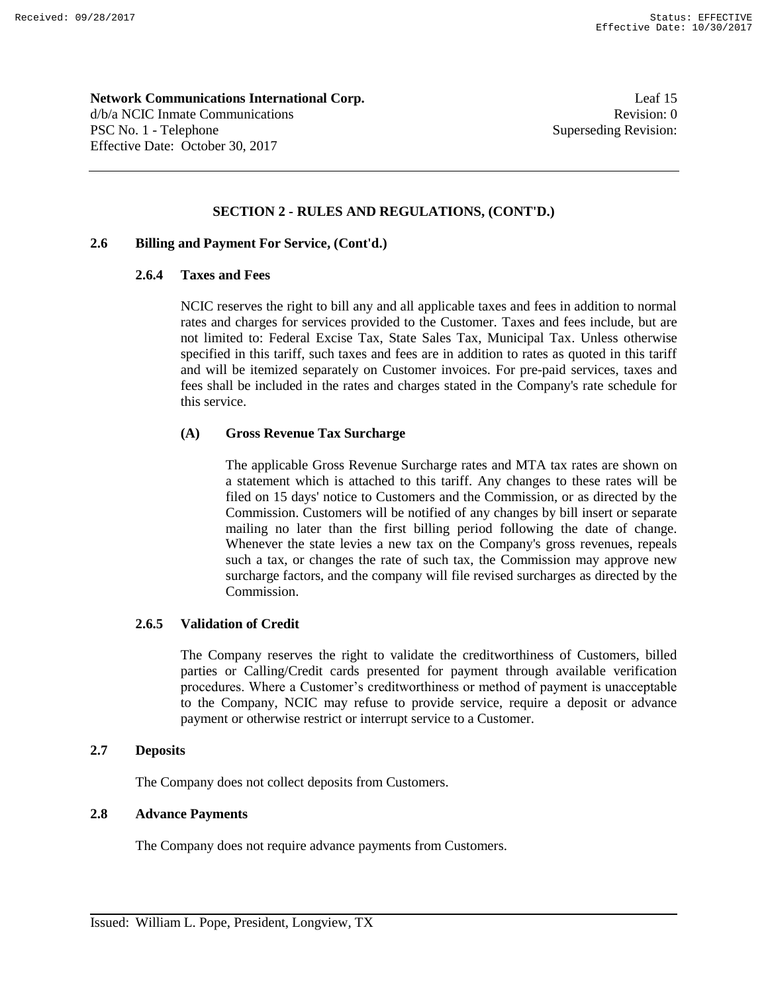**Network Communications International Corp.** Leaf 15 d/b/a NCIC Inmate Communications **Revision:** 0 PSC No. 1 - Telephone Superseding Revision: Effective Date: October 30, 2017

# **SECTION 2 - RULES AND REGULATIONS, (CONT'D.)**

# **2.6 Billing and Payment For Service, (Cont'd.)**

#### **2.6.4 Taxes and Fees**

NCIC reserves the right to bill any and all applicable taxes and fees in addition to normal rates and charges for services provided to the Customer. Taxes and fees include, but are not limited to: Federal Excise Tax, State Sales Tax, Municipal Tax. Unless otherwise specified in this tariff, such taxes and fees are in addition to rates as quoted in this tariff and will be itemized separately on Customer invoices. For pre-paid services, taxes and fees shall be included in the rates and charges stated in the Company's rate schedule for this service.

# **(A) Gross Revenue Tax Surcharge**

The applicable Gross Revenue Surcharge rates and MTA tax rates are shown on a statement which is attached to this tariff. Any changes to these rates will be filed on 15 days' notice to Customers and the Commission, or as directed by the Commission. Customers will be notified of any changes by bill insert or separate mailing no later than the first billing period following the date of change. Whenever the state levies a new tax on the Company's gross revenues, repeals such a tax, or changes the rate of such tax, the Commission may approve new surcharge factors, and the company will file revised surcharges as directed by the Commission.

#### **2.6.5 Validation of Credit**

The Company reserves the right to validate the creditworthiness of Customers, billed parties or Calling/Credit cards presented for payment through available verification procedures. Where a Customer's creditworthiness or method of payment is unacceptable to the Company, NCIC may refuse to provide service, require a deposit or advance payment or otherwise restrict or interrupt service to a Customer.

#### **2.7 Deposits**

The Company does not collect deposits from Customers.

# **2.8 Advance Payments**

The Company does not require advance payments from Customers.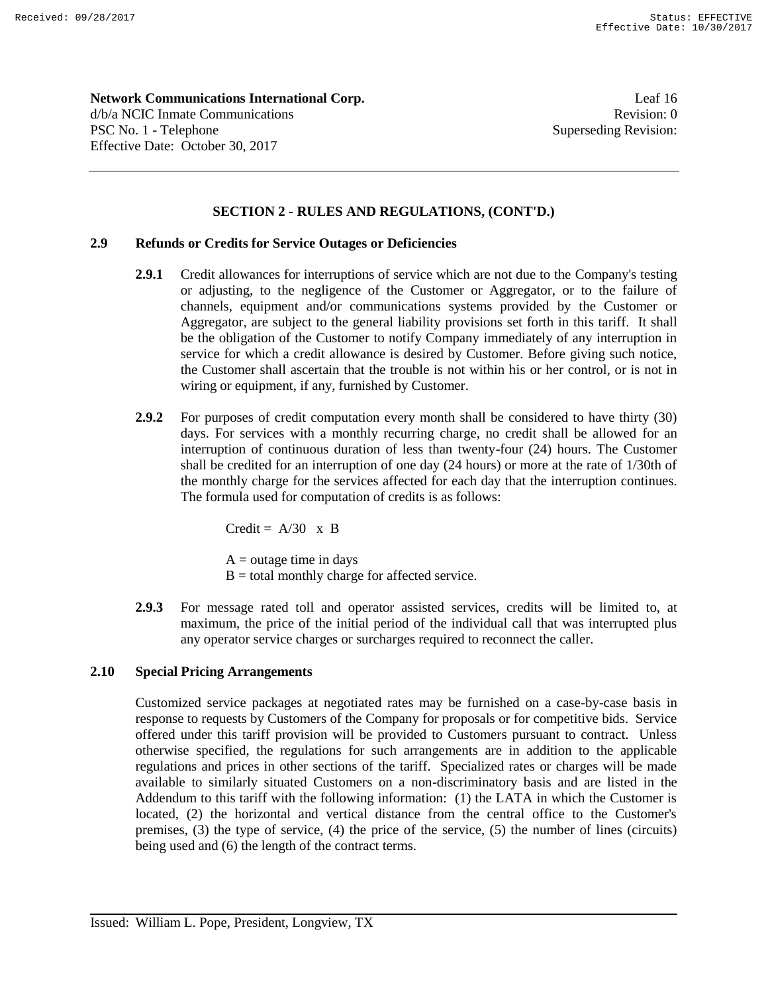**Network Communications International Corp.** Leaf 16 d/b/a NCIC Inmate Communications **Revision:** 0 PSC No. 1 - Telephone Superseding Revision: Effective Date: October 30, 2017

# **SECTION 2 - RULES AND REGULATIONS, (CONT'D.)**

# **2.9 Refunds or Credits for Service Outages or Deficiencies**

- **2.9.1** Credit allowances for interruptions of service which are not due to the Company's testing or adjusting, to the negligence of the Customer or Aggregator, or to the failure of channels, equipment and/or communications systems provided by the Customer or Aggregator, are subject to the general liability provisions set forth in this tariff. It shall be the obligation of the Customer to notify Company immediately of any interruption in service for which a credit allowance is desired by Customer. Before giving such notice, the Customer shall ascertain that the trouble is not within his or her control, or is not in wiring or equipment, if any, furnished by Customer.
- **2.9.2** For purposes of credit computation every month shall be considered to have thirty (30) days. For services with a monthly recurring charge, no credit shall be allowed for an interruption of continuous duration of less than twenty-four (24) hours. The Customer shall be credited for an interruption of one day (24 hours) or more at the rate of 1/30th of the monthly charge for the services affected for each day that the interruption continues. The formula used for computation of credits is as follows:

Credit =  $A/30 \times B$ 

 $A = outage time in days$  $B =$  total monthly charge for affected service.

**2.9.3** For message rated toll and operator assisted services, credits will be limited to, at maximum, the price of the initial period of the individual call that was interrupted plus any operator service charges or surcharges required to reconnect the caller.

#### **2.10 Special Pricing Arrangements**

Customized service packages at negotiated rates may be furnished on a case-by-case basis in response to requests by Customers of the Company for proposals or for competitive bids. Service offered under this tariff provision will be provided to Customers pursuant to contract. Unless otherwise specified, the regulations for such arrangements are in addition to the applicable regulations and prices in other sections of the tariff. Specialized rates or charges will be made available to similarly situated Customers on a non-discriminatory basis and are listed in the Addendum to this tariff with the following information: (1) the LATA in which the Customer is located, (2) the horizontal and vertical distance from the central office to the Customer's premises, (3) the type of service, (4) the price of the service, (5) the number of lines (circuits) being used and (6) the length of the contract terms.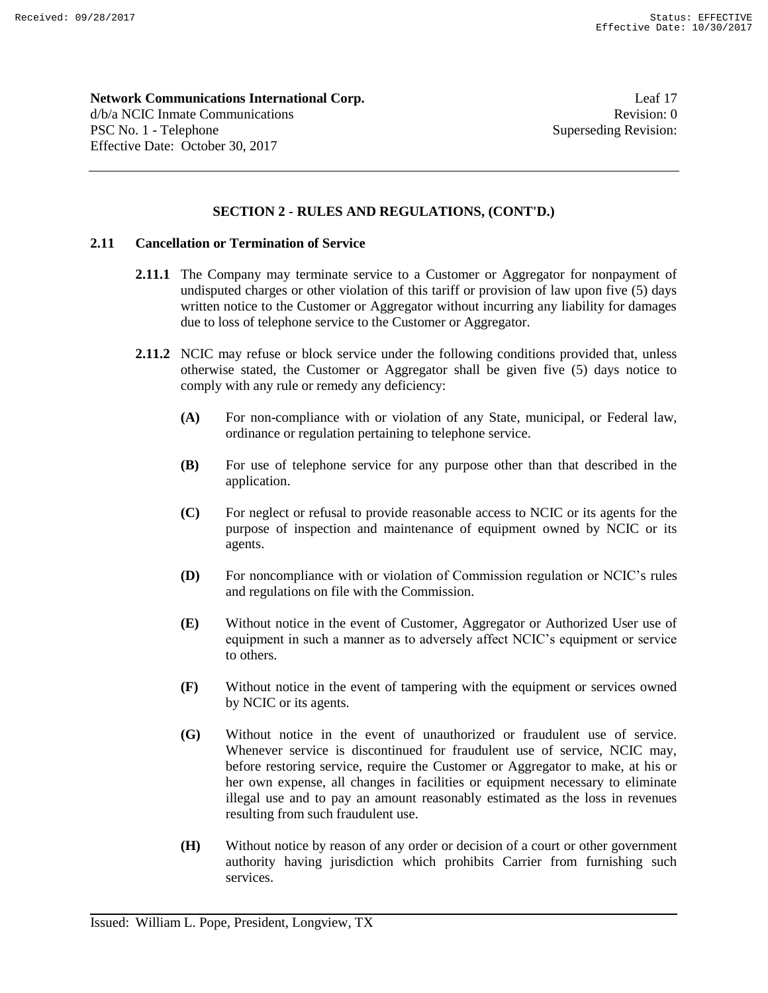**Network Communications International Corp.** Leaf 17 d/b/a NCIC Inmate Communications **Revision:** 0 PSC No. 1 - Telephone Superseding Revision: Effective Date: October 30, 2017

# **SECTION 2 - RULES AND REGULATIONS, (CONT'D.)**

# **2.11 Cancellation or Termination of Service**

- **2.11.1** The Company may terminate service to a Customer or Aggregator for nonpayment of undisputed charges or other violation of this tariff or provision of law upon five (5) days written notice to the Customer or Aggregator without incurring any liability for damages due to loss of telephone service to the Customer or Aggregator.
- **2.11.2** NCIC may refuse or block service under the following conditions provided that, unless otherwise stated, the Customer or Aggregator shall be given five (5) days notice to comply with any rule or remedy any deficiency:
	- **(A)** For non-compliance with or violation of any State, municipal, or Federal law, ordinance or regulation pertaining to telephone service.
	- **(B)** For use of telephone service for any purpose other than that described in the application.
	- **(C)** For neglect or refusal to provide reasonable access to NCIC or its agents for the purpose of inspection and maintenance of equipment owned by NCIC or its agents.
	- **(D)** For noncompliance with or violation of Commission regulation or NCIC's rules and regulations on file with the Commission.
	- **(E)** Without notice in the event of Customer, Aggregator or Authorized User use of equipment in such a manner as to adversely affect NCIC's equipment or service to others.
	- **(F)** Without notice in the event of tampering with the equipment or services owned by NCIC or its agents.
	- **(G)** Without notice in the event of unauthorized or fraudulent use of service. Whenever service is discontinued for fraudulent use of service, NCIC may, before restoring service, require the Customer or Aggregator to make, at his or her own expense, all changes in facilities or equipment necessary to eliminate illegal use and to pay an amount reasonably estimated as the loss in revenues resulting from such fraudulent use.
	- **(H)** Without notice by reason of any order or decision of a court or other government authority having jurisdiction which prohibits Carrier from furnishing such services.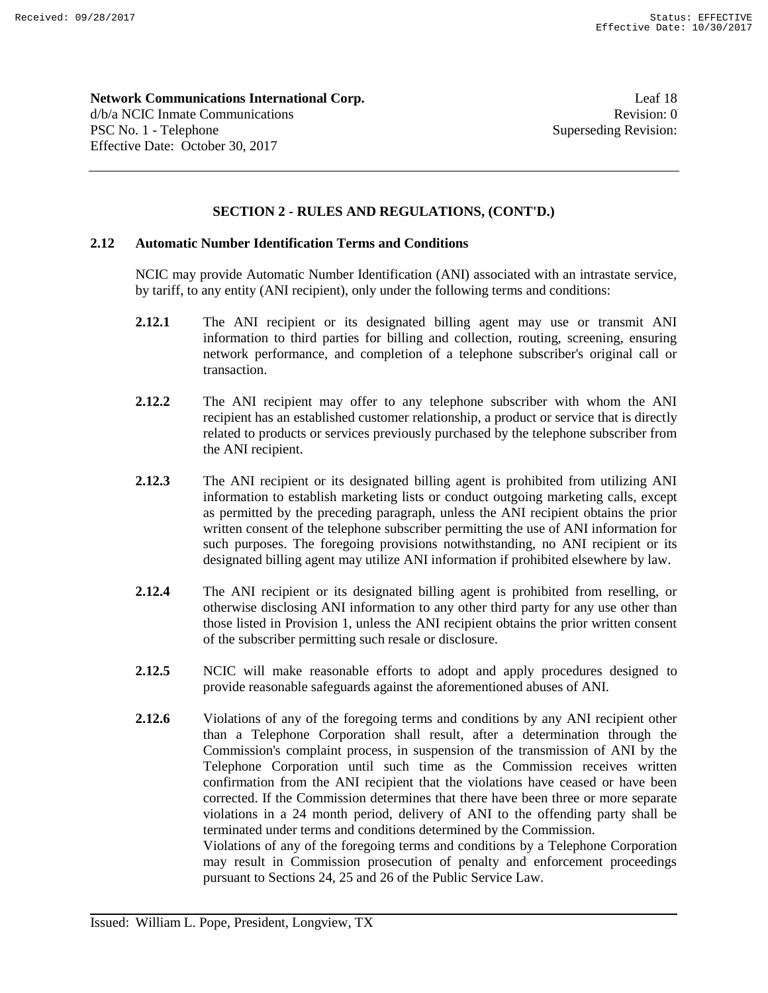**Network Communications International Corp.** Leaf 18 d/b/a NCIC Inmate Communications **Revision:** 0 PSC No. 1 - Telephone Superseding Revision: Effective Date: October 30, 2017

# **SECTION 2 - RULES AND REGULATIONS, (CONT'D.)**

## **2.12 Automatic Number Identification Terms and Conditions**

NCIC may provide Automatic Number Identification (ANI) associated with an intrastate service, by tariff, to any entity (ANI recipient), only under the following terms and conditions:

- **2.12.1** The ANI recipient or its designated billing agent may use or transmit ANI information to third parties for billing and collection, routing, screening, ensuring network performance, and completion of a telephone subscriber's original call or transaction.
- **2.12.2** The ANI recipient may offer to any telephone subscriber with whom the ANI recipient has an established customer relationship, a product or service that is directly related to products or services previously purchased by the telephone subscriber from the ANI recipient.
- **2.12.3** The ANI recipient or its designated billing agent is prohibited from utilizing ANI information to establish marketing lists or conduct outgoing marketing calls, except as permitted by the preceding paragraph, unless the ANI recipient obtains the prior written consent of the telephone subscriber permitting the use of ANI information for such purposes. The foregoing provisions notwithstanding, no ANI recipient or its designated billing agent may utilize ANI information if prohibited elsewhere by law.
- **2.12.4** The ANI recipient or its designated billing agent is prohibited from reselling, or otherwise disclosing ANI information to any other third party for any use other than those listed in Provision 1, unless the ANI recipient obtains the prior written consent of the subscriber permitting such resale or disclosure.
- **2.12.5** NCIC will make reasonable efforts to adopt and apply procedures designed to provide reasonable safeguards against the aforementioned abuses of ANI.
- **2.12.6** Violations of any of the foregoing terms and conditions by any ANI recipient other than a Telephone Corporation shall result, after a determination through the Commission's complaint process, in suspension of the transmission of ANI by the Telephone Corporation until such time as the Commission receives written confirmation from the ANI recipient that the violations have ceased or have been corrected. If the Commission determines that there have been three or more separate violations in a 24 month period, delivery of ANI to the offending party shall be terminated under terms and conditions determined by the Commission. Violations of any of the foregoing terms and conditions by a Telephone Corporation

may result in Commission prosecution of penalty and enforcement proceedings pursuant to Sections 24, 25 and 26 of the Public Service Law.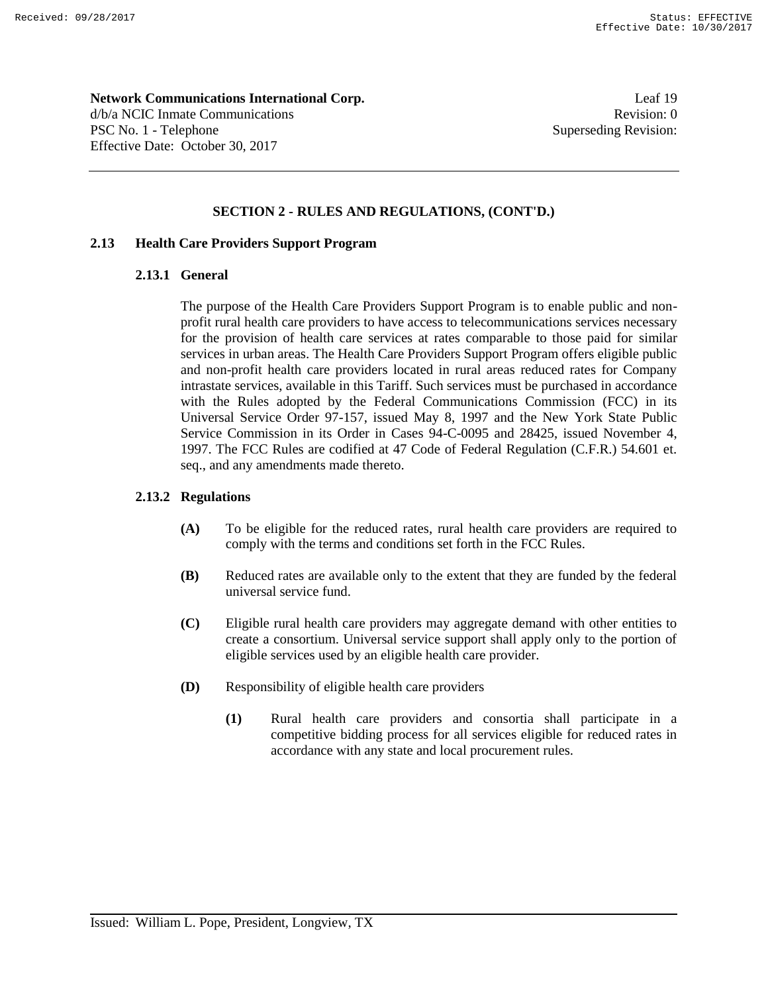**Network Communications International Corp.** Leaf 19 d/b/a NCIC Inmate Communications **Revision:** 0 PSC No. 1 - Telephone Superseding Revision: Effective Date: October 30, 2017

# **SECTION 2 - RULES AND REGULATIONS, (CONT'D.)**

# **2.13 Health Care Providers Support Program**

#### **2.13.1 General**

The purpose of the Health Care Providers Support Program is to enable public and nonprofit rural health care providers to have access to telecommunications services necessary for the provision of health care services at rates comparable to those paid for similar services in urban areas. The Health Care Providers Support Program offers eligible public and non-profit health care providers located in rural areas reduced rates for Company intrastate services, available in this Tariff. Such services must be purchased in accordance with the Rules adopted by the Federal Communications Commission (FCC) in its Universal Service Order 97-157, issued May 8, 1997 and the New York State Public Service Commission in its Order in Cases 94-C-0095 and 28425, issued November 4, 1997. The FCC Rules are codified at 47 Code of Federal Regulation (C.F.R.) 54.601 et. seq., and any amendments made thereto.

# **2.13.2 Regulations**

- **(A)** To be eligible for the reduced rates, rural health care providers are required to comply with the terms and conditions set forth in the FCC Rules.
- **(B)** Reduced rates are available only to the extent that they are funded by the federal universal service fund.
- **(C)** Eligible rural health care providers may aggregate demand with other entities to create a consortium. Universal service support shall apply only to the portion of eligible services used by an eligible health care provider.
- **(D)** Responsibility of eligible health care providers
	- **(1)** Rural health care providers and consortia shall participate in a competitive bidding process for all services eligible for reduced rates in accordance with any state and local procurement rules.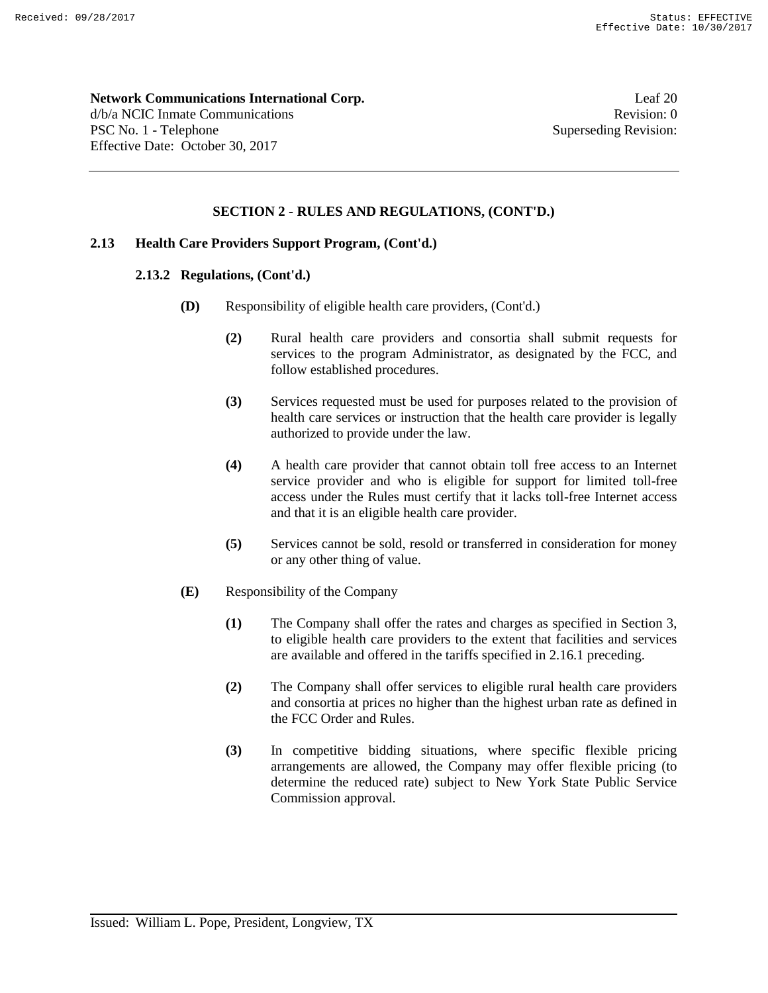#### **Network Communications International Corp.** Leaf 20

d/b/a NCIC Inmate Communications **Revision:** 0 PSC No. 1 - Telephone Superseding Revision: Effective Date: October 30, 2017

# **SECTION 2 - RULES AND REGULATIONS, (CONT'D.)**

# **2.13 Health Care Providers Support Program, (Cont'd.)**

# **2.13.2 Regulations, (Cont'd.)**

- **(D)** Responsibility of eligible health care providers, (Cont'd.)
	- **(2)** Rural health care providers and consortia shall submit requests for services to the program Administrator, as designated by the FCC, and follow established procedures.
	- **(3)** Services requested must be used for purposes related to the provision of health care services or instruction that the health care provider is legally authorized to provide under the law.
	- **(4)** A health care provider that cannot obtain toll free access to an Internet service provider and who is eligible for support for limited toll-free access under the Rules must certify that it lacks toll-free Internet access and that it is an eligible health care provider.
	- **(5)** Services cannot be sold, resold or transferred in consideration for money or any other thing of value.
- **(E)** Responsibility of the Company
	- **(1)** The Company shall offer the rates and charges as specified in Section 3, to eligible health care providers to the extent that facilities and services are available and offered in the tariffs specified in 2.16.1 preceding.
	- **(2)** The Company shall offer services to eligible rural health care providers and consortia at prices no higher than the highest urban rate as defined in the FCC Order and Rules.
	- **(3)** In competitive bidding situations, where specific flexible pricing arrangements are allowed, the Company may offer flexible pricing (to determine the reduced rate) subject to New York State Public Service Commission approval.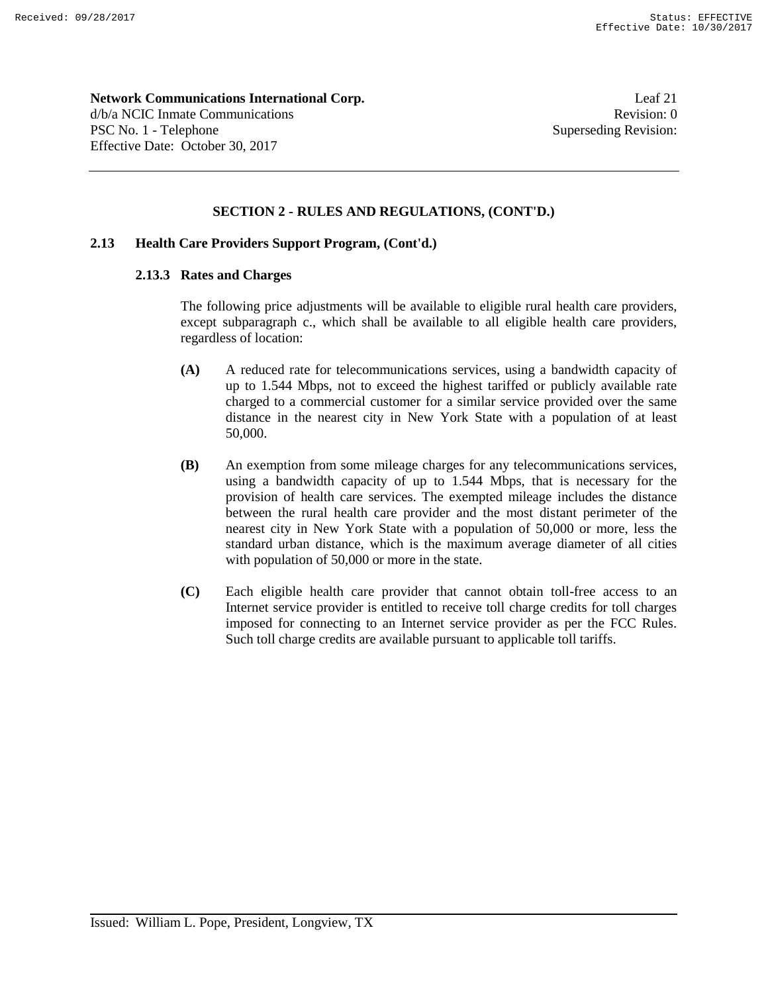**Network Communications International Corp.** Leaf 21 d/b/a NCIC Inmate Communications **Revision:** 0 PSC No. 1 - Telephone Superseding Revision: Effective Date: October 30, 2017

# **SECTION 2 - RULES AND REGULATIONS, (CONT'D.)**

# **2.13 Health Care Providers Support Program, (Cont'd.)**

#### **2.13.3 Rates and Charges**

The following price adjustments will be available to eligible rural health care providers, except subparagraph c., which shall be available to all eligible health care providers, regardless of location:

- **(A)** A reduced rate for telecommunications services, using a bandwidth capacity of up to 1.544 Mbps, not to exceed the highest tariffed or publicly available rate charged to a commercial customer for a similar service provided over the same distance in the nearest city in New York State with a population of at least 50,000.
- **(B)** An exemption from some mileage charges for any telecommunications services, using a bandwidth capacity of up to 1.544 Mbps, that is necessary for the provision of health care services. The exempted mileage includes the distance between the rural health care provider and the most distant perimeter of the nearest city in New York State with a population of 50,000 or more, less the standard urban distance, which is the maximum average diameter of all cities with population of 50,000 or more in the state.
- **(C)** Each eligible health care provider that cannot obtain toll-free access to an Internet service provider is entitled to receive toll charge credits for toll charges imposed for connecting to an Internet service provider as per the FCC Rules. Such toll charge credits are available pursuant to applicable toll tariffs.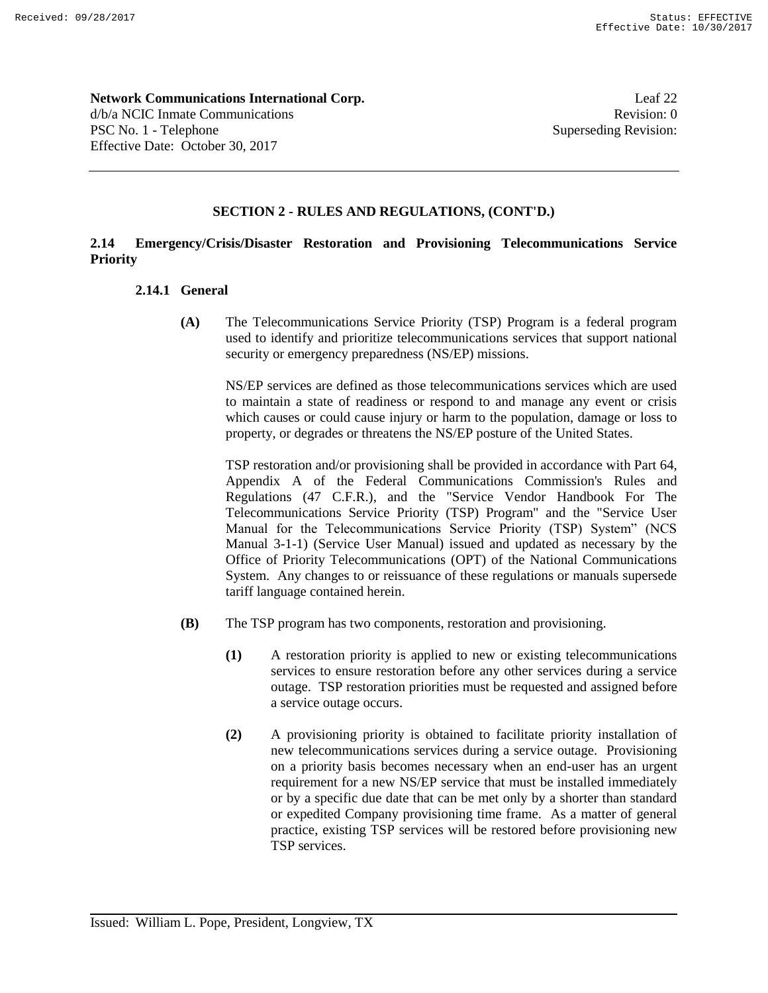**Network Communications International Corp.** Leaf 22 d/b/a NCIC Inmate Communications **Revision:** 0

PSC No. 1 - Telephone Superseding Revision:

# **SECTION 2 - RULES AND REGULATIONS, (CONT'D.)**

# **2.14 Emergency/Crisis/Disaster Restoration and Provisioning Telecommunications Service Priority**

# **2.14.1 General**

Effective Date: October 30, 2017

**(A)** The Telecommunications Service Priority (TSP) Program is a federal program used to identify and prioritize telecommunications services that support national security or emergency preparedness (NS/EP) missions.

NS/EP services are defined as those telecommunications services which are used to maintain a state of readiness or respond to and manage any event or crisis which causes or could cause injury or harm to the population, damage or loss to property, or degrades or threatens the NS/EP posture of the United States.

TSP restoration and/or provisioning shall be provided in accordance with Part 64, Appendix A of the Federal Communications Commission's Rules and Regulations (47 C.F.R.), and the "Service Vendor Handbook For The Telecommunications Service Priority (TSP) Program" and the "Service User Manual for the Telecommunications Service Priority (TSP) System" (NCS Manual 3-1-1) (Service User Manual) issued and updated as necessary by the Office of Priority Telecommunications (OPT) of the National Communications System. Any changes to or reissuance of these regulations or manuals supersede tariff language contained herein.

- **(B)** The TSP program has two components, restoration and provisioning.
	- **(1)** A restoration priority is applied to new or existing telecommunications services to ensure restoration before any other services during a service outage. TSP restoration priorities must be requested and assigned before a service outage occurs.
	- **(2)** A provisioning priority is obtained to facilitate priority installation of new telecommunications services during a service outage. Provisioning on a priority basis becomes necessary when an end-user has an urgent requirement for a new NS/EP service that must be installed immediately or by a specific due date that can be met only by a shorter than standard or expedited Company provisioning time frame. As a matter of general practice, existing TSP services will be restored before provisioning new TSP services.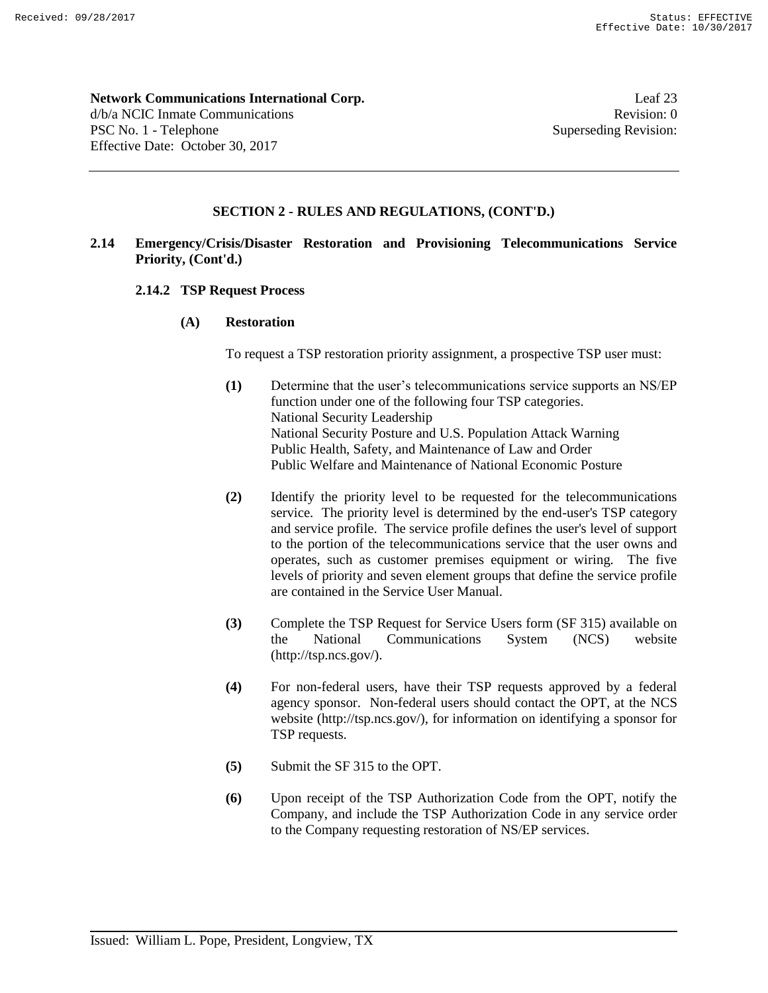#### **Network Communications International Corp.** Leaf 23

d/b/a NCIC Inmate Communications **Revision:** 0 PSC No. 1 - Telephone Superseding Revision: Effective Date: October 30, 2017

# **SECTION 2 - RULES AND REGULATIONS, (CONT'D.)**

# **2.14 Emergency/Crisis/Disaster Restoration and Provisioning Telecommunications Service Priority, (Cont'd.)**

#### **2.14.2 TSP Request Process**

#### **(A) Restoration**

To request a TSP restoration priority assignment, a prospective TSP user must:

- **(1)** Determine that the user's telecommunications service supports an NS/EP function under one of the following four TSP categories. National Security Leadership National Security Posture and U.S. Population Attack Warning Public Health, Safety, and Maintenance of Law and Order Public Welfare and Maintenance of National Economic Posture
- **(2)** Identify the priority level to be requested for the telecommunications service. The priority level is determined by the end-user's TSP category and service profile. The service profile defines the user's level of support to the portion of the telecommunications service that the user owns and operates, such as customer premises equipment or wiring. The five levels of priority and seven element groups that define the service profile are contained in the Service User Manual.
- **(3)** Complete the TSP Request for Service Users form (SF 315) available on the National Communications System (NCS) website (http://tsp.ncs.gov/).
- **(4)** For non-federal users, have their TSP requests approved by a federal agency sponsor. Non-federal users should contact the OPT, at the NCS website (http://tsp.ncs.gov/), for information on identifying a sponsor for TSP requests.
- **(5)** Submit the SF 315 to the OPT.
- **(6)** Upon receipt of the TSP Authorization Code from the OPT, notify the Company, and include the TSP Authorization Code in any service order to the Company requesting restoration of NS/EP services.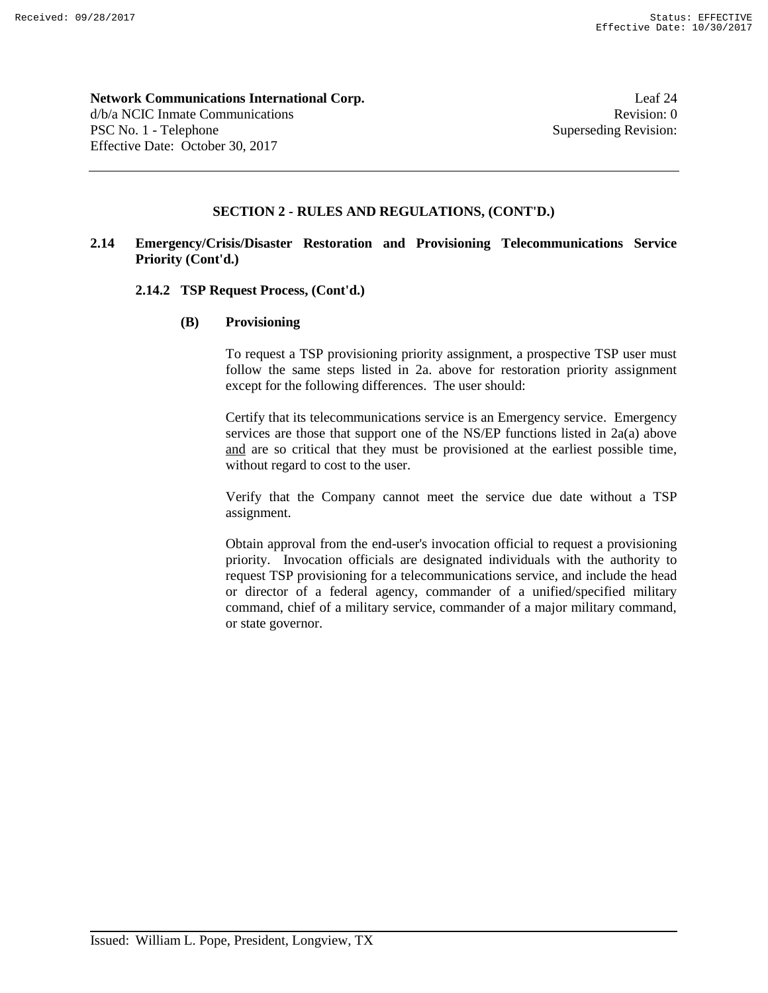# **Network Communications International Corp.** Leaf 24 d/b/a NCIC Inmate Communications **Revision:** 0

PSC No. 1 - Telephone Superseding Revision: Effective Date: October 30, 2017

# **SECTION 2 - RULES AND REGULATIONS, (CONT'D.)**

# **2.14 Emergency/Crisis/Disaster Restoration and Provisioning Telecommunications Service Priority (Cont'd.)**

# **2.14.2 TSP Request Process, (Cont'd.)**

# **(B) Provisioning**

To request a TSP provisioning priority assignment, a prospective TSP user must follow the same steps listed in 2a. above for restoration priority assignment except for the following differences. The user should:

Certify that its telecommunications service is an Emergency service. Emergency services are those that support one of the NS/EP functions listed in 2a(a) above and are so critical that they must be provisioned at the earliest possible time, without regard to cost to the user.

Verify that the Company cannot meet the service due date without a TSP assignment.

Obtain approval from the end-user's invocation official to request a provisioning priority. Invocation officials are designated individuals with the authority to request TSP provisioning for a telecommunications service, and include the head or director of a federal agency, commander of a unified/specified military command, chief of a military service, commander of a major military command, or state governor.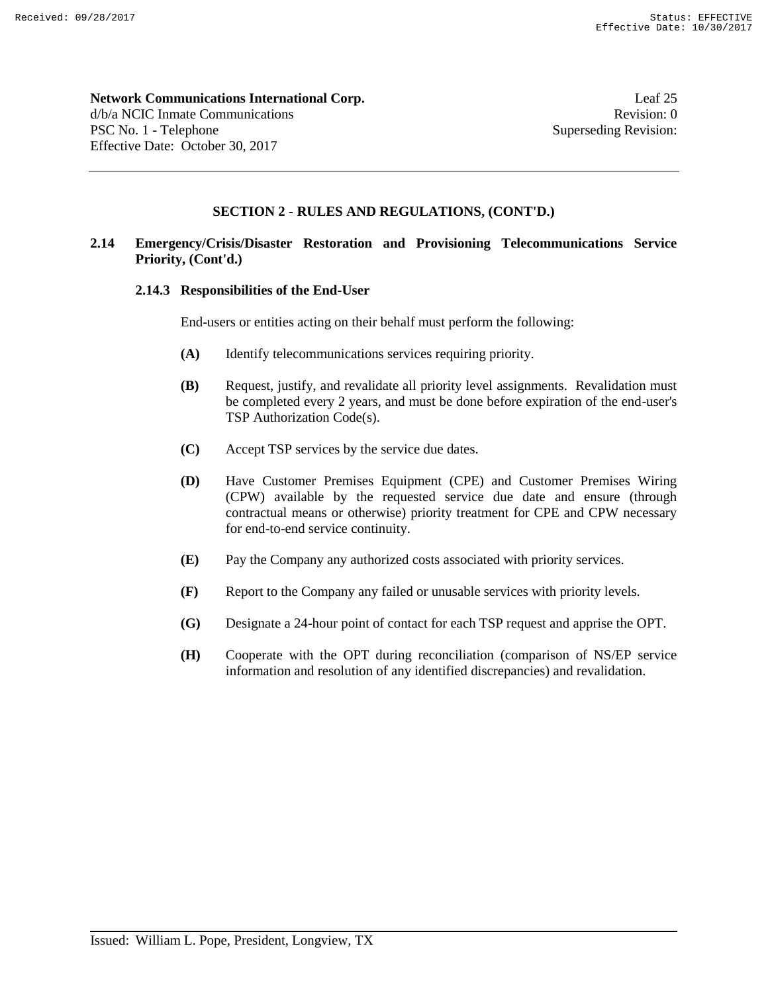**Network Communications International Corp.** Leaf 25 d/b/a NCIC Inmate Communications **Revision:** 0

PSC No. 1 - Telephone Superseding Revision: Effective Date: October 30, 2017

# **SECTION 2 - RULES AND REGULATIONS, (CONT'D.)**

# **2.14 Emergency/Crisis/Disaster Restoration and Provisioning Telecommunications Service Priority, (Cont'd.)**

# **2.14.3 Responsibilities of the End-User**

End-users or entities acting on their behalf must perform the following:

- **(A)** Identify telecommunications services requiring priority.
- **(B)** Request, justify, and revalidate all priority level assignments. Revalidation must be completed every 2 years, and must be done before expiration of the end-user's TSP Authorization Code(s).
- **(C)** Accept TSP services by the service due dates.
- **(D)** Have Customer Premises Equipment (CPE) and Customer Premises Wiring (CPW) available by the requested service due date and ensure (through contractual means or otherwise) priority treatment for CPE and CPW necessary for end-to-end service continuity.
- **(E)** Pay the Company any authorized costs associated with priority services.
- **(F)** Report to the Company any failed or unusable services with priority levels.
- **(G)** Designate a 24-hour point of contact for each TSP request and apprise the OPT.
- **(H)** Cooperate with the OPT during reconciliation (comparison of NS/EP service information and resolution of any identified discrepancies) and revalidation.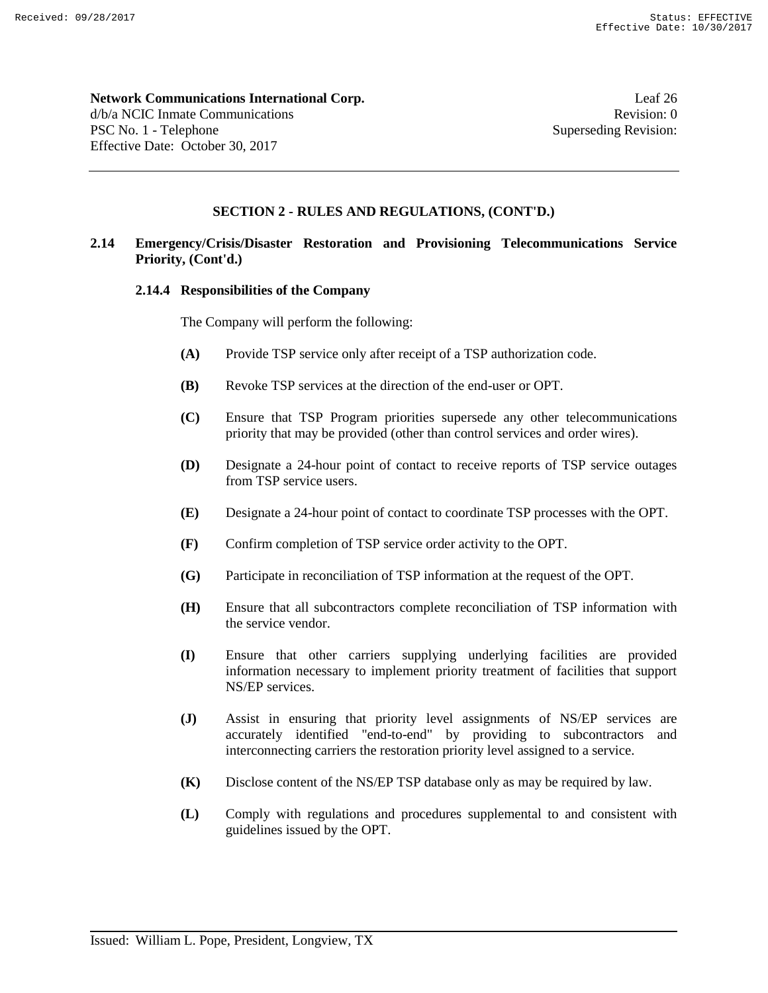**Network Communications International Corp.** Leaf 26 d/b/a NCIC Inmate Communications **Revision:** 0 PSC No. 1 - Telephone Superseding Revision:

Effective Date: October 30, 2017

# **SECTION 2 - RULES AND REGULATIONS, (CONT'D.)**

# **2.14 Emergency/Crisis/Disaster Restoration and Provisioning Telecommunications Service Priority, (Cont'd.)**

#### **2.14.4 Responsibilities of the Company**

The Company will perform the following:

- **(A)** Provide TSP service only after receipt of a TSP authorization code.
- **(B)** Revoke TSP services at the direction of the end-user or OPT.
- **(C)** Ensure that TSP Program priorities supersede any other telecommunications priority that may be provided (other than control services and order wires).
- **(D)** Designate a 24-hour point of contact to receive reports of TSP service outages from TSP service users.
- **(E)** Designate a 24-hour point of contact to coordinate TSP processes with the OPT.
- **(F)** Confirm completion of TSP service order activity to the OPT.
- **(G)** Participate in reconciliation of TSP information at the request of the OPT.
- **(H)** Ensure that all subcontractors complete reconciliation of TSP information with the service vendor.
- **(I)** Ensure that other carriers supplying underlying facilities are provided information necessary to implement priority treatment of facilities that support NS/EP services.
- **(J)** Assist in ensuring that priority level assignments of NS/EP services are accurately identified "end-to-end" by providing to subcontractors and interconnecting carriers the restoration priority level assigned to a service.
- **(K)** Disclose content of the NS/EP TSP database only as may be required by law.
- **(L)** Comply with regulations and procedures supplemental to and consistent with guidelines issued by the OPT.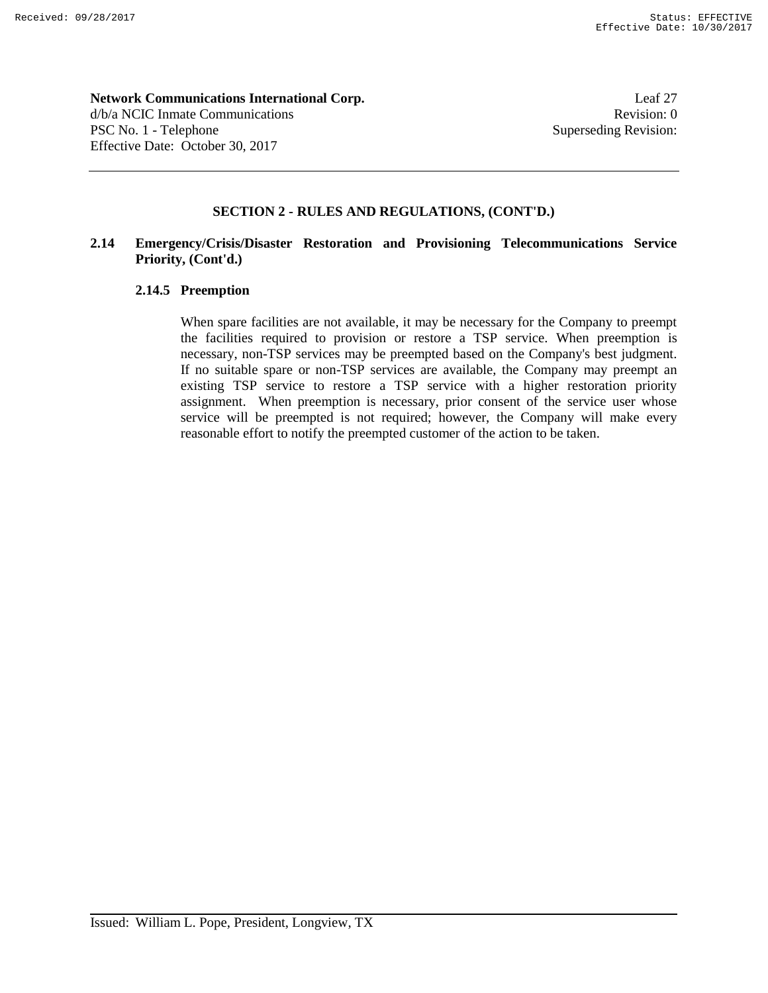**Network Communications International Corp.** Leaf 27 d/b/a NCIC Inmate Communications **Revision:** 0 PSC No. 1 - Telephone Superseding Revision: Effective Date: October 30, 2017

# **SECTION 2 - RULES AND REGULATIONS, (CONT'D.)**

# **2.14 Emergency/Crisis/Disaster Restoration and Provisioning Telecommunications Service Priority, (Cont'd.)**

# **2.14.5 Preemption**

When spare facilities are not available, it may be necessary for the Company to preempt the facilities required to provision or restore a TSP service. When preemption is necessary, non-TSP services may be preempted based on the Company's best judgment. If no suitable spare or non-TSP services are available, the Company may preempt an existing TSP service to restore a TSP service with a higher restoration priority assignment. When preemption is necessary, prior consent of the service user whose service will be preempted is not required; however, the Company will make every reasonable effort to notify the preempted customer of the action to be taken.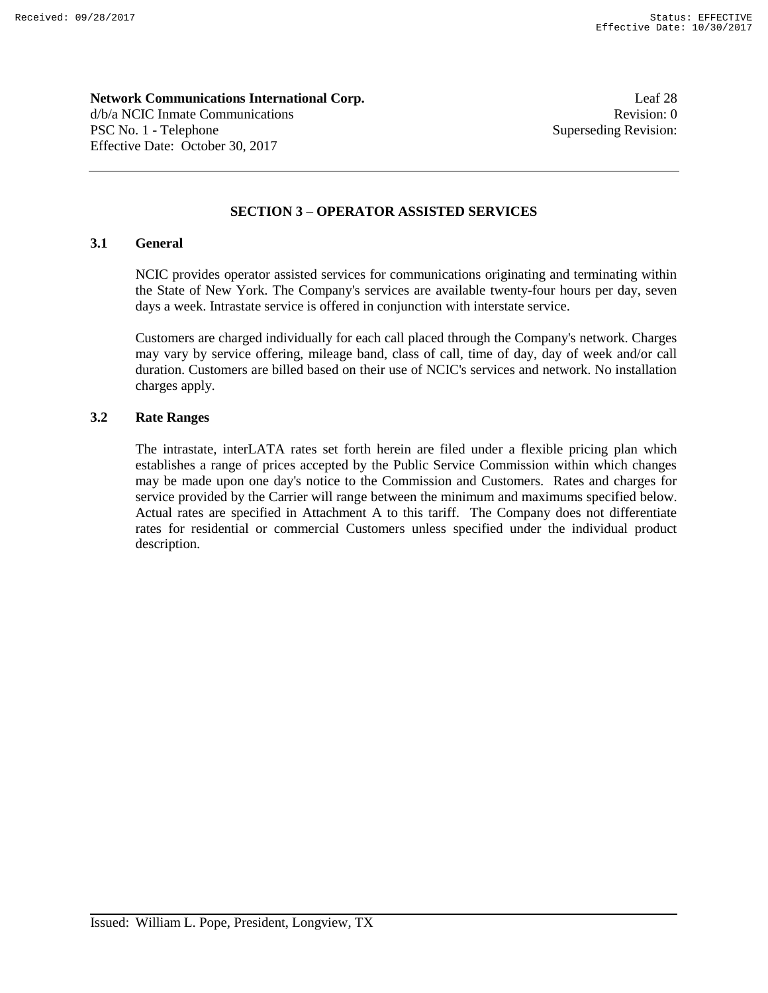**Network Communications International Corp.** Leaf 28 d/b/a NCIC Inmate Communications **Revision:** 0 PSC No. 1 - Telephone Superseding Revision: Effective Date: October 30, 2017

# **SECTION 3 – OPERATOR ASSISTED SERVICES**

# **3.1 General**

NCIC provides operator assisted services for communications originating and terminating within the State of New York. The Company's services are available twenty-four hours per day, seven days a week. Intrastate service is offered in conjunction with interstate service.

Customers are charged individually for each call placed through the Company's network. Charges may vary by service offering, mileage band, class of call, time of day, day of week and/or call duration. Customers are billed based on their use of NCIC's services and network. No installation charges apply.

## **3.2 Rate Ranges**

The intrastate, interLATA rates set forth herein are filed under a flexible pricing plan which establishes a range of prices accepted by the Public Service Commission within which changes may be made upon one day's notice to the Commission and Customers. Rates and charges for service provided by the Carrier will range between the minimum and maximums specified below. Actual rates are specified in Attachment A to this tariff. The Company does not differentiate rates for residential or commercial Customers unless specified under the individual product description.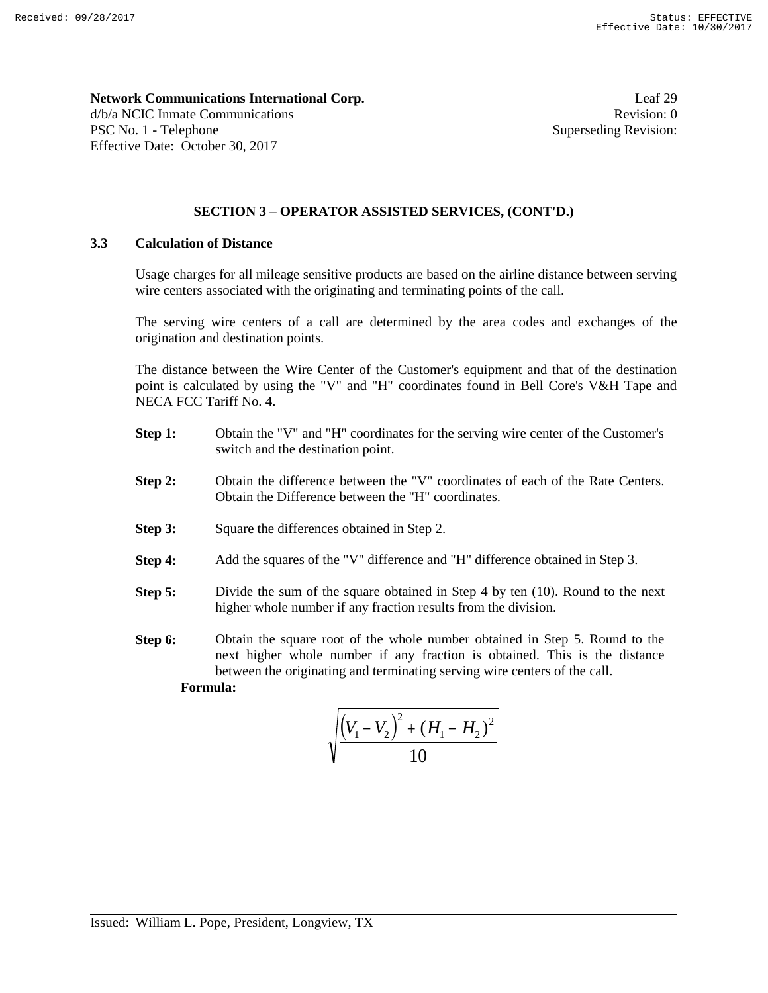**Network Communications International Corp.** Leaf 29 d/b/a NCIC Inmate Communications **Revision:** 0 PSC No. 1 - Telephone Superseding Revision:

# **SECTION 3 – OPERATOR ASSISTED SERVICES, (CONT'D.)**

# **3.3 Calculation of Distance**

Effective Date: October 30, 2017

Usage charges for all mileage sensitive products are based on the airline distance between serving wire centers associated with the originating and terminating points of the call.

The serving wire centers of a call are determined by the area codes and exchanges of the origination and destination points.

The distance between the Wire Center of the Customer's equipment and that of the destination point is calculated by using the "V" and "H" coordinates found in Bell Core's V&H Tape and NECA FCC Tariff No. 4.

- **Step 1:** Obtain the "V" and "H" coordinates for the serving wire center of the Customer's switch and the destination point.
- **Step 2:** Obtain the difference between the "V" coordinates of each of the Rate Centers. Obtain the Difference between the "H" coordinates.
- **Step 3:** Square the differences obtained in Step 2.
- **Step 4:** Add the squares of the "V" difference and "H" difference obtained in Step 3.
- **Step 5:** Divide the sum of the square obtained in Step 4 by ten (10). Round to the next higher whole number if any fraction results from the division.
- **Step 6:** Obtain the square root of the whole number obtained in Step 5. Round to the next higher whole number if any fraction is obtained. This is the distance between the originating and terminating serving wire centers of the call.

**Formula:**

$$
\sqrt{\frac{(V_1 - V_2)^2 + (H_1 - H_2)^2}{10}}
$$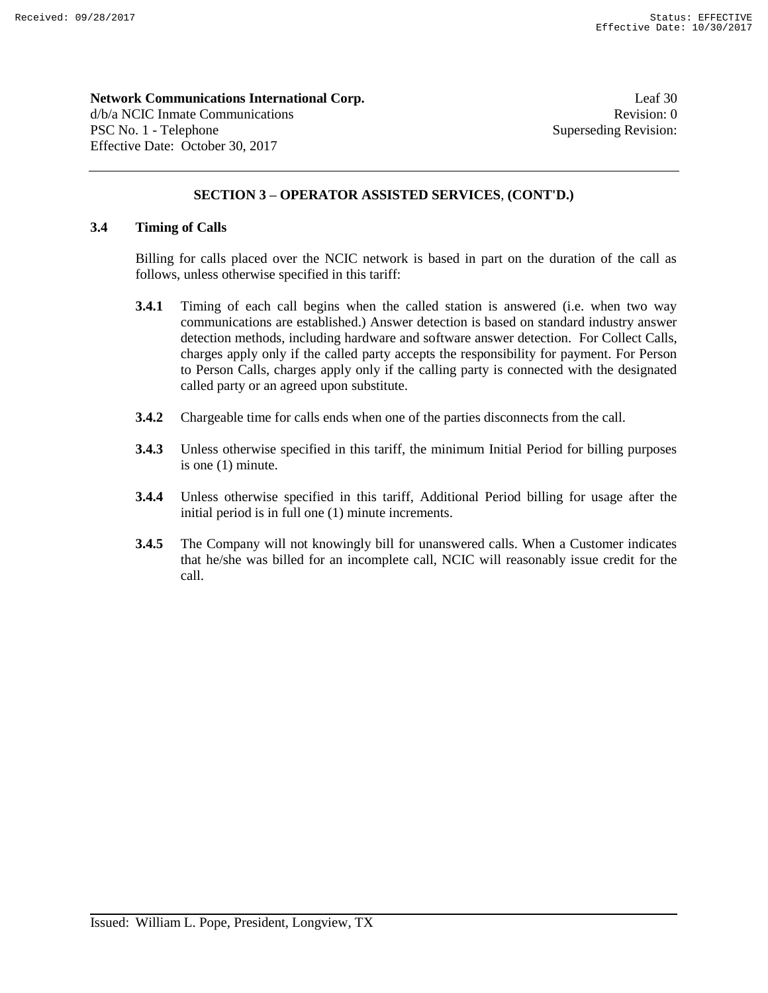**Network Communications International Corp.** Leaf 30 d/b/a NCIC Inmate Communications **Revision:** 0 PSC No. 1 - Telephone Superseding Revision: Effective Date: October 30, 2017

# **SECTION 3 – OPERATOR ASSISTED SERVICES**, **(CONT'D.)**

# **3.4 Timing of Calls**

Billing for calls placed over the NCIC network is based in part on the duration of the call as follows, unless otherwise specified in this tariff:

- **3.4.1** Timing of each call begins when the called station is answered (i.e. when two way communications are established.) Answer detection is based on standard industry answer detection methods, including hardware and software answer detection. For Collect Calls, charges apply only if the called party accepts the responsibility for payment. For Person to Person Calls, charges apply only if the calling party is connected with the designated called party or an agreed upon substitute.
- **3.4.2** Chargeable time for calls ends when one of the parties disconnects from the call.
- **3.4.3** Unless otherwise specified in this tariff, the minimum Initial Period for billing purposes is one (1) minute.
- **3.4.4** Unless otherwise specified in this tariff, Additional Period billing for usage after the initial period is in full one (1) minute increments.
- **3.4.5** The Company will not knowingly bill for unanswered calls. When a Customer indicates that he/she was billed for an incomplete call, NCIC will reasonably issue credit for the call.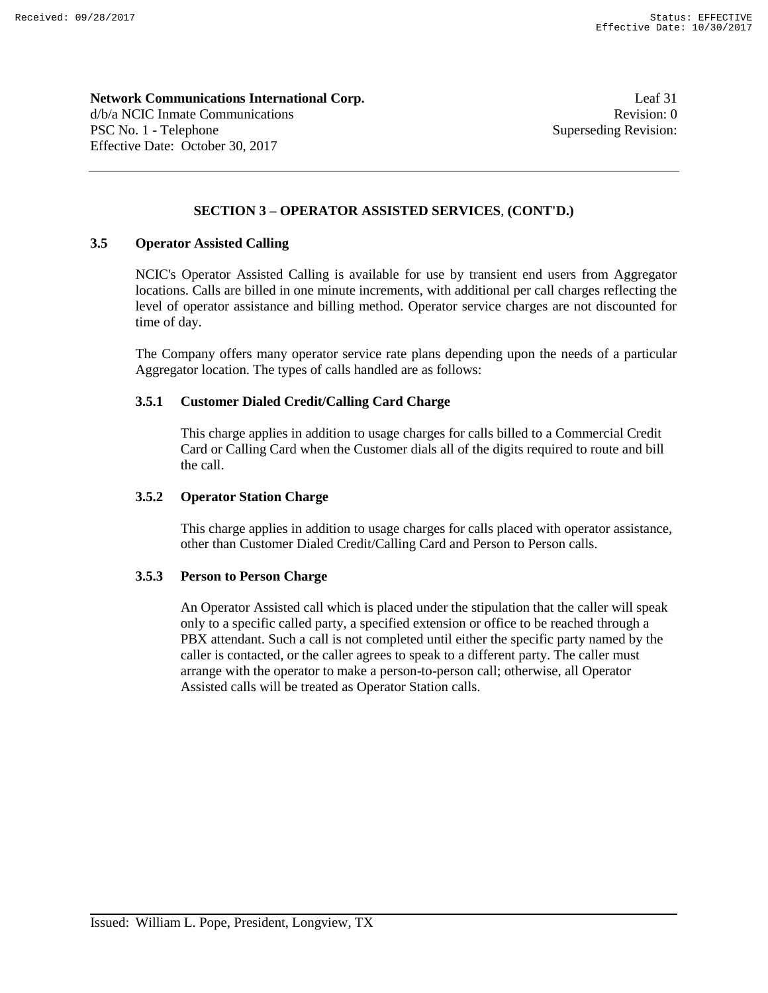**Network Communications International Corp.** Leaf 31 d/b/a NCIC Inmate Communications **Revision:** 0 PSC No. 1 - Telephone Superseding Revision: Effective Date: October 30, 2017

# **SECTION 3 – OPERATOR ASSISTED SERVICES**, **(CONT'D.)**

# **3.5 Operator Assisted Calling**

NCIC's Operator Assisted Calling is available for use by transient end users from Aggregator locations. Calls are billed in one minute increments, with additional per call charges reflecting the level of operator assistance and billing method. Operator service charges are not discounted for time of day.

The Company offers many operator service rate plans depending upon the needs of a particular Aggregator location. The types of calls handled are as follows:

# **3.5.1 Customer Dialed Credit/Calling Card Charge**

This charge applies in addition to usage charges for calls billed to a Commercial Credit Card or Calling Card when the Customer dials all of the digits required to route and bill the call.

# **3.5.2 Operator Station Charge**

This charge applies in addition to usage charges for calls placed with operator assistance, other than Customer Dialed Credit/Calling Card and Person to Person calls.

#### **3.5.3 Person to Person Charge**

An Operator Assisted call which is placed under the stipulation that the caller will speak only to a specific called party, a specified extension or office to be reached through a PBX attendant. Such a call is not completed until either the specific party named by the caller is contacted, or the caller agrees to speak to a different party. The caller must arrange with the operator to make a person-to-person call; otherwise, all Operator Assisted calls will be treated as Operator Station calls.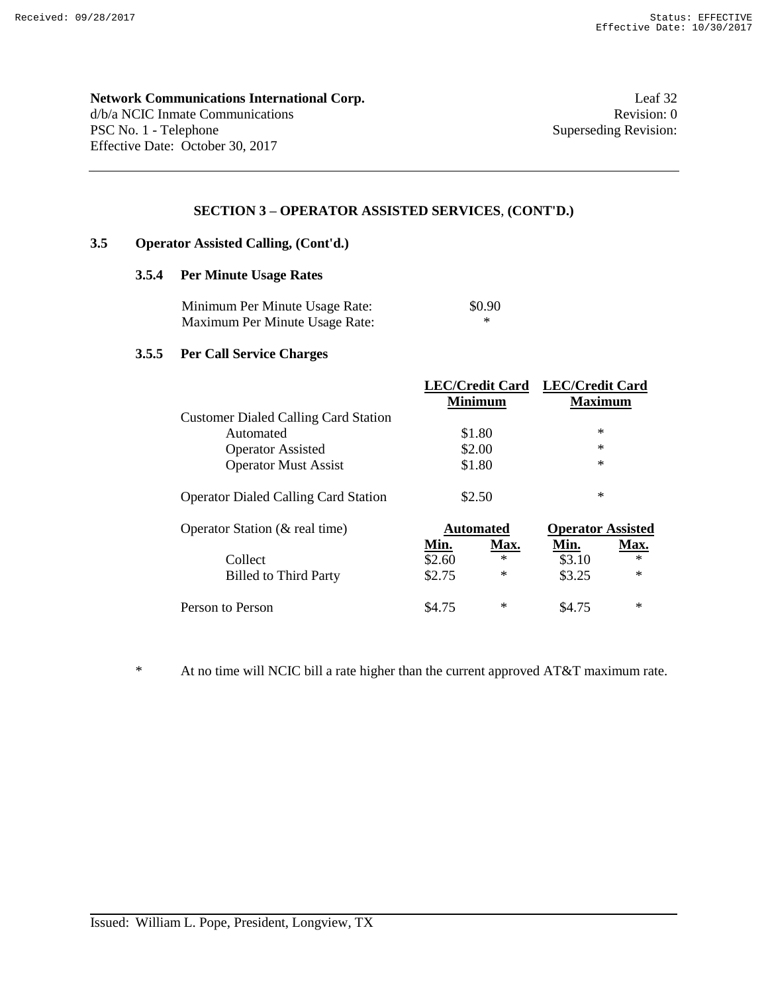# **Network Communications International Corp.** Leaf 32

d/b/a NCIC Inmate Communications Revision: 0 PSC No. 1 - Telephone Superseding Revision: Effective Date: October 30, 2017

# **SECTION 3 – OPERATOR ASSISTED SERVICES**, **(CONT'D.)**

# **3.5 Operator Assisted Calling, (Cont'd.)**

# **3.5.4 Per Minute Usage Rates**

| Minimum Per Minute Usage Rate: | \$0.90 |
|--------------------------------|--------|
| Maximum Per Minute Usage Rate: |        |

# **3.5.5 Per Call Service Charges**

|                                             |        |                  | LEC/Credit Card LEC/Credit Card |        |
|---------------------------------------------|--------|------------------|---------------------------------|--------|
|                                             |        | <b>Minimum</b>   | <b>Maximum</b>                  |        |
| <b>Customer Dialed Calling Card Station</b> |        |                  |                                 |        |
| Automated                                   |        | \$1.80           | $\ast$                          |        |
| <b>Operator Assisted</b>                    |        | \$2.00           | $\ast$                          |        |
| <b>Operator Must Assist</b>                 |        | \$1.80           | $\ast$                          |        |
| <b>Operator Dialed Calling Card Station</b> |        | \$2.50           | $\ast$                          |        |
| Operator Station (& real time)              |        | <b>Automated</b> | <b>Operator Assisted</b>        |        |
|                                             | Min.   | Max.             | Min.                            | Max.   |
| Collect                                     | \$2.60 | $\ast$           | \$3.10                          | $\ast$ |
| <b>Billed to Third Party</b>                | \$2.75 | $\ast$           | \$3.25                          | $\ast$ |
| Person to Person                            | \$4.75 | $\ast$           | \$4.75                          | $\ast$ |

\* At no time will NCIC bill a rate higher than the current approved AT&T maximum rate.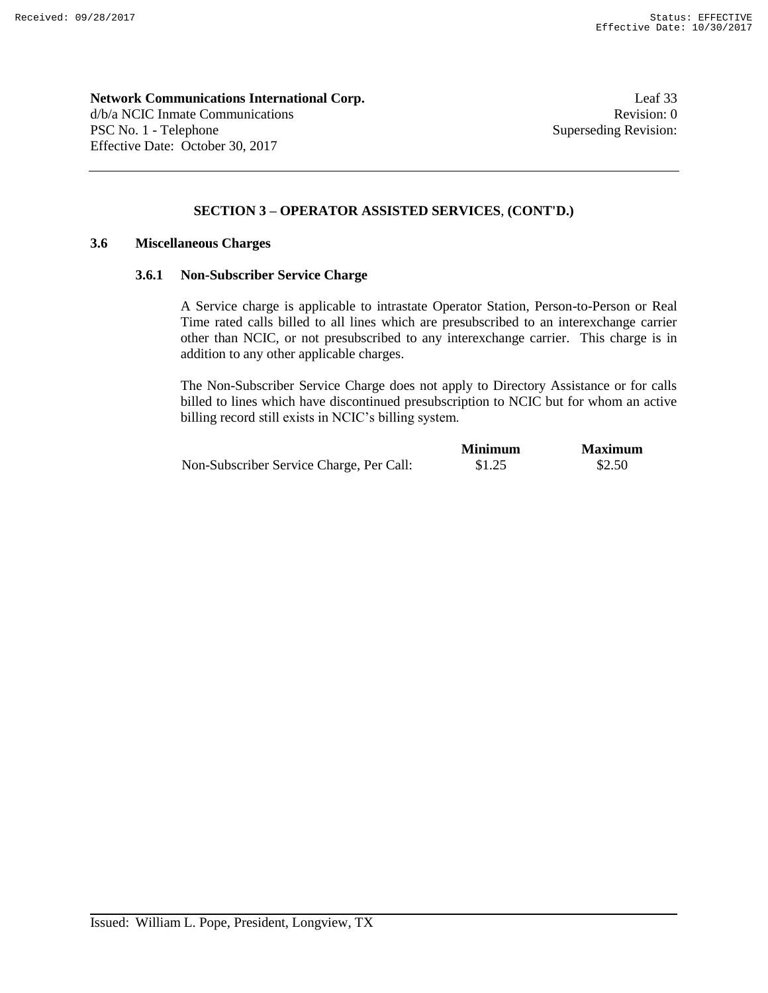**Network Communications International Corp.** Leaf 33 d/b/a NCIC Inmate Communications **Revision:** 0 PSC No. 1 - Telephone Superseding Revision: Effective Date: October 30, 2017

# **SECTION 3 – OPERATOR ASSISTED SERVICES**, **(CONT'D.)**

# **3.6 Miscellaneous Charges**

#### **3.6.1 Non-Subscriber Service Charge**

A Service charge is applicable to intrastate Operator Station, Person-to-Person or Real Time rated calls billed to all lines which are presubscribed to an interexchange carrier other than NCIC, or not presubscribed to any interexchange carrier. This charge is in addition to any other applicable charges.

The Non-Subscriber Service Charge does not apply to Directory Assistance or for calls billed to lines which have discontinued presubscription to NCIC but for whom an active billing record still exists in NCIC's billing system.

|                                          | <b>Minimum</b> | <b>Maximum</b> |
|------------------------------------------|----------------|----------------|
| Non-Subscriber Service Charge, Per Call: | \$1.25         | \$2.50         |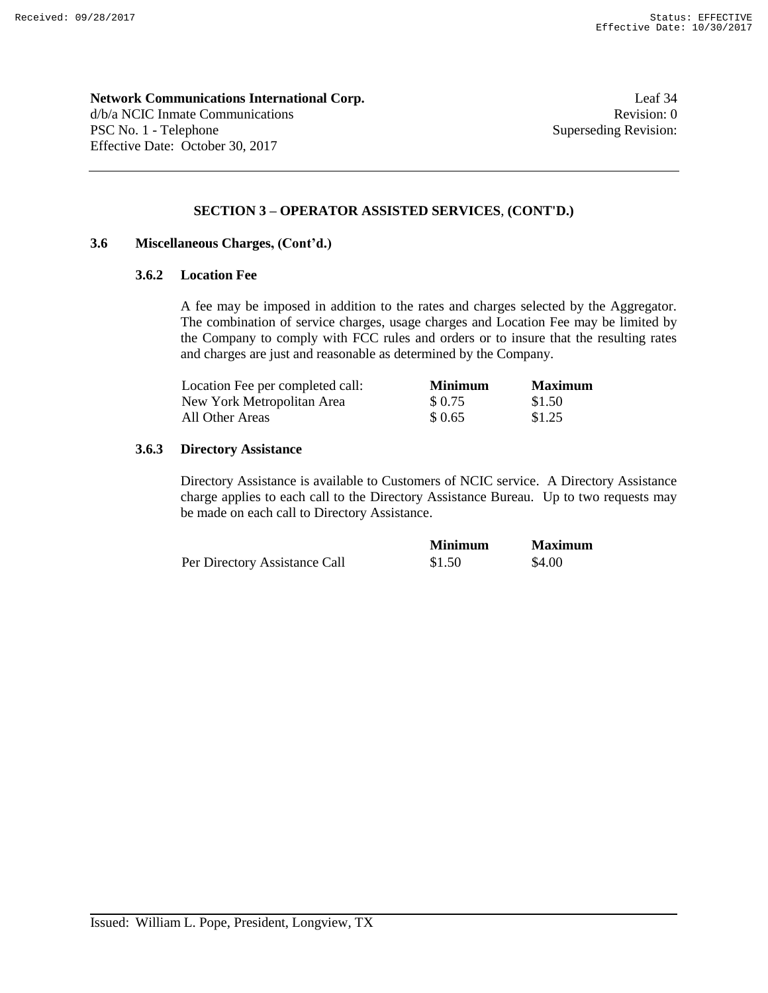**Network Communications International Corp.** Leaf 34 d/b/a NCIC Inmate Communications **Revision:** 0 PSC No. 1 - Telephone Superseding Revision: Effective Date: October 30, 2017

# **SECTION 3 – OPERATOR ASSISTED SERVICES**, **(CONT'D.)**

# **3.6 Miscellaneous Charges, (Cont'd.)**

# **3.6.2 Location Fee**

A fee may be imposed in addition to the rates and charges selected by the Aggregator. The combination of service charges, usage charges and Location Fee may be limited by the Company to comply with FCC rules and orders or to insure that the resulting rates and charges are just and reasonable as determined by the Company.

| Location Fee per completed call: | <b>Minimum</b> | <b>Maximum</b> |
|----------------------------------|----------------|----------------|
| New York Metropolitan Area       | \$ 0.75        | \$1.50         |
| All Other Areas                  | \$ 0.65        | \$1.25         |

#### **3.6.3 Directory Assistance**

Directory Assistance is available to Customers of NCIC service. A Directory Assistance charge applies to each call to the Directory Assistance Bureau. Up to two requests may be made on each call to Directory Assistance.

|                               | <b>Minimum</b> | <b>Maximum</b> |
|-------------------------------|----------------|----------------|
| Per Directory Assistance Call | \$1.50         | \$4.00         |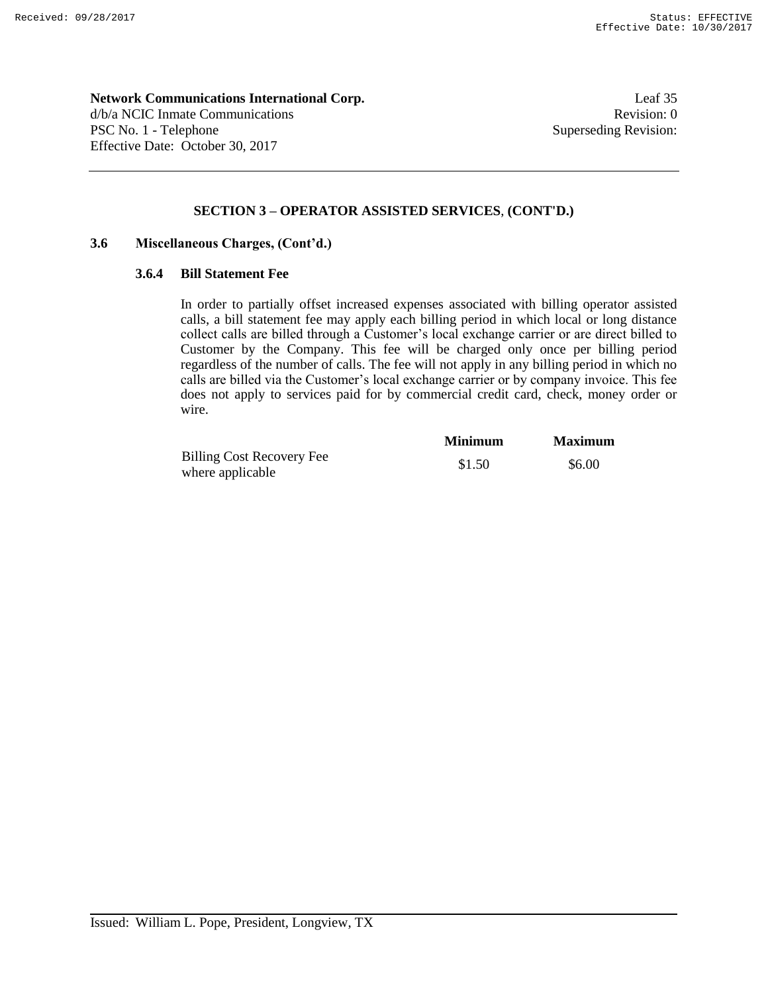**Network Communications International Corp.** Leaf 35 d/b/a NCIC Inmate Communications **Revision:** 0 PSC No. 1 - Telephone Superseding Revision: Effective Date: October 30, 2017

# **SECTION 3 – OPERATOR ASSISTED SERVICES**, **(CONT'D.)**

# **3.6 Miscellaneous Charges, (Cont'd.)**

#### **3.6.4 Bill Statement Fee**

In order to partially offset increased expenses associated with billing operator assisted calls, a bill statement fee may apply each billing period in which local or long distance collect calls are billed through a Customer's local exchange carrier or are direct billed to Customer by the Company. This fee will be charged only once per billing period regardless of the number of calls. The fee will not apply in any billing period in which no calls are billed via the Customer's local exchange carrier or by company invoice. This fee does not apply to services paid for by commercial credit card, check, money order or wire.

|                                  | <b>Minimum</b> | <b>Maximum</b> |
|----------------------------------|----------------|----------------|
| <b>Billing Cost Recovery Fee</b> | \$1.50         | \$6.00         |
| where applicable                 |                |                |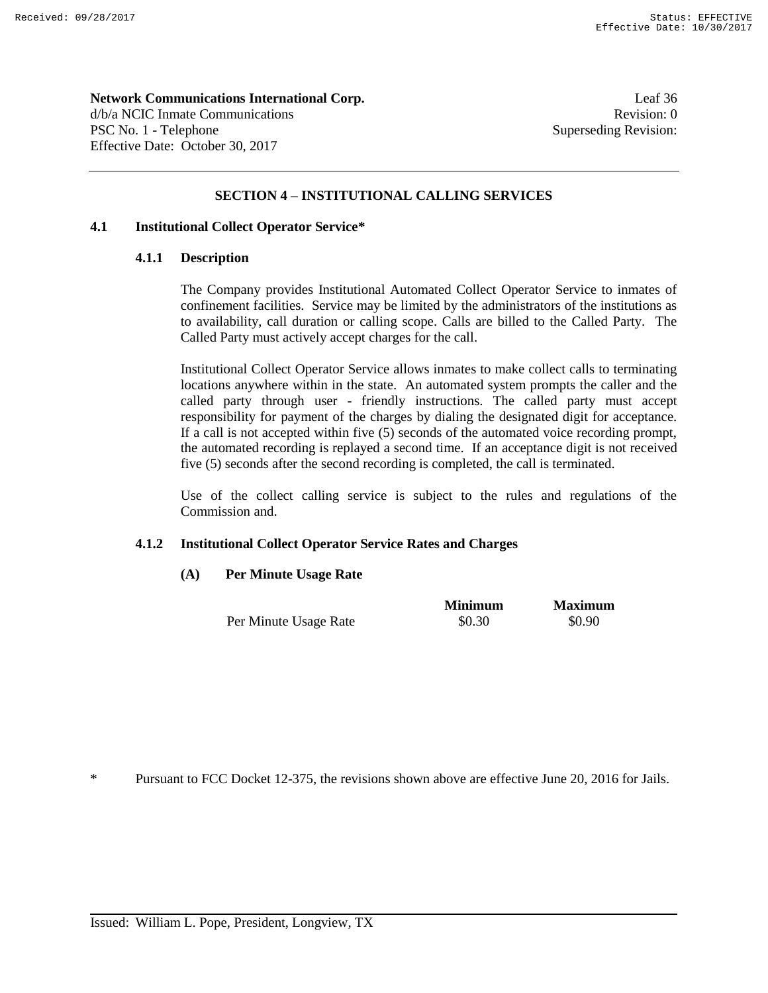**Network Communications International Corp.** Leaf 36 d/b/a NCIC Inmate Communications **Revision:** 0 PSC No. 1 - Telephone Superseding Revision: Effective Date: October 30, 2017

# **SECTION 4 – INSTITUTIONAL CALLING SERVICES**

# **4.1 Institutional Collect Operator Service\***

#### **4.1.1 Description**

The Company provides Institutional Automated Collect Operator Service to inmates of confinement facilities. Service may be limited by the administrators of the institutions as to availability, call duration or calling scope. Calls are billed to the Called Party. The Called Party must actively accept charges for the call.

Institutional Collect Operator Service allows inmates to make collect calls to terminating locations anywhere within in the state. An automated system prompts the caller and the called party through user - friendly instructions. The called party must accept responsibility for payment of the charges by dialing the designated digit for acceptance. If a call is not accepted within five (5) seconds of the automated voice recording prompt, the automated recording is replayed a second time. If an acceptance digit is not received five (5) seconds after the second recording is completed, the call is terminated.

Use of the collect calling service is subject to the rules and regulations of the Commission and.

#### **4.1.2 Institutional Collect Operator Service Rates and Charges**

# **(A) Per Minute Usage Rate**

|                       | <b>Minimum</b> | <b>Maximum</b> |
|-----------------------|----------------|----------------|
| Per Minute Usage Rate | \$0.30         | \$0.90         |

\* Pursuant to FCC Docket 12-375, the revisions shown above are effective June 20, 2016 for Jails.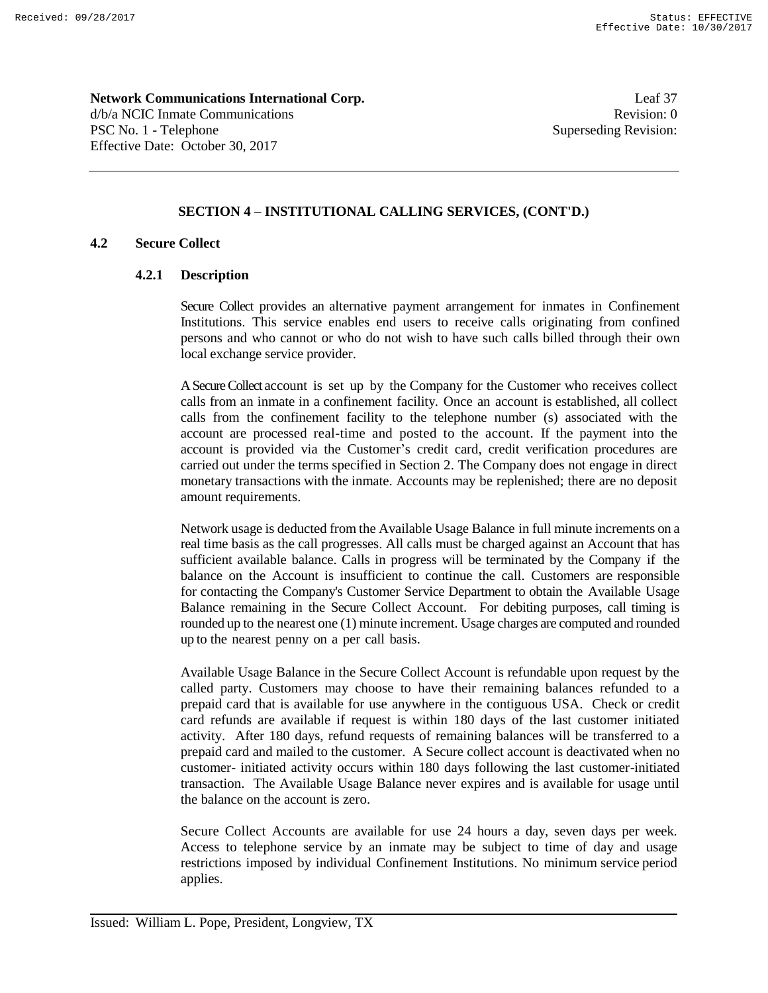**Network Communications International Corp.** Leaf 37 d/b/a NCIC Inmate Communications **Revision:** 0 PSC No. 1 - Telephone Superseding Revision: Effective Date: October 30, 2017

# **SECTION 4 – INSTITUTIONAL CALLING SERVICES, (CONT'D.)**

# **4.2 Secure Collect**

# **4.2.1 Description**

Secure Collect provides an alternative payment arrangement for inmates in Confinement Institutions. This service enables end users to receive calls originating from confined persons and who cannot or who do not wish to have such calls billed through their own local exchange service provider.

A Secure Collect account is set up by the Company for the Customer who receives collect calls from an inmate in a confinement facility. Once an account is established, all collect calls from the confinement facility to the telephone number (s) associated with the account are processed real-time and posted to the account. If the payment into the account is provided via the Customer's credit card, credit verification procedures are carried out under the terms specified in Section 2. The Company does not engage in direct monetary transactions with the inmate. Accounts may be replenished; there are no deposit amount requirements.

Network usage is deducted from the Available Usage Balance in full minute increments on a real time basis as the call progresses. All calls must be charged against an Account that has sufficient available balance. Calls in progress will be terminated by the Company if the balance on the Account is insufficient to continue the call. Customers are responsible for contacting the Company's Customer Service Department to obtain the Available Usage Balance remaining in the Secure Collect Account. For debiting purposes, call timing is rounded up to the nearest one (1) minute increment. Usage charges are computed and rounded up to the nearest penny on a per call basis.

Available Usage Balance in the Secure Collect Account is refundable upon request by the called party. Customers may choose to have their remaining balances refunded to a prepaid card that is available for use anywhere in the contiguous USA. Check or credit card refunds are available if request is within 180 days of the last customer initiated activity. After 180 days, refund requests of remaining balances will be transferred to a prepaid card and mailed to the customer. A Secure collect account is deactivated when no customer- initiated activity occurs within 180 days following the last customer-initiated transaction. The Available Usage Balance never expires and is available for usage until the balance on the account is zero.

Secure Collect Accounts are available for use 24 hours a day, seven days per week. Access to telephone service by an inmate may be subject to time of day and usage restrictions imposed by individual Confinement Institutions. No minimum service period applies.